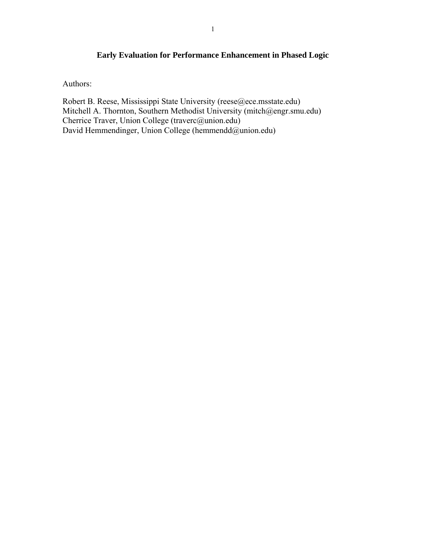# **Early Evaluation for Performance Enhancement in Phased Logic**

Authors:

Robert B. Reese, Mississippi State University (reese@ece.msstate.edu) Mitchell A. Thornton, Southern Methodist University (mitch@engr.smu.edu) Cherrice Traver, Union College (traverc@union.edu) David Hemmendinger, Union College (hemmendd@union.edu)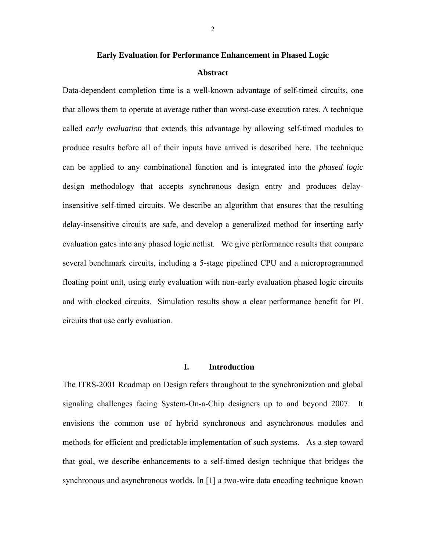## **Early Evaluation for Performance Enhancement in Phased Logic**

#### **Abstract**

Data-dependent completion time is a well-known advantage of self-timed circuits, one that allows them to operate at average rather than worst-case execution rates. A technique called *early evaluation* that extends this advantage by allowing self-timed modules to produce results before all of their inputs have arrived is described here. The technique can be applied to any combinational function and is integrated into the *phased logic* design methodology that accepts synchronous design entry and produces delayinsensitive self-timed circuits. We describe an algorithm that ensures that the resulting delay-insensitive circuits are safe, and develop a generalized method for inserting early evaluation gates into any phased logic netlist. We give performance results that compare several benchmark circuits, including a 5-stage pipelined CPU and a microprogrammed floating point unit, using early evaluation with non-early evaluation phased logic circuits and with clocked circuits. Simulation results show a clear performance benefit for PL circuits that use early evaluation.

## **I. Introduction**

The ITRS-2001 Roadmap on Design refers throughout to the synchronization and global signaling challenges facing System-On-a-Chip designers up to and beyond 2007. It envisions the common use of hybrid synchronous and asynchronous modules and methods for efficient and predictable implementation of such systems. As a step toward that goal, we describe enhancements to a self-timed design technique that bridges the synchronous and asynchronous worlds. In [1] a two-wire data encoding technique known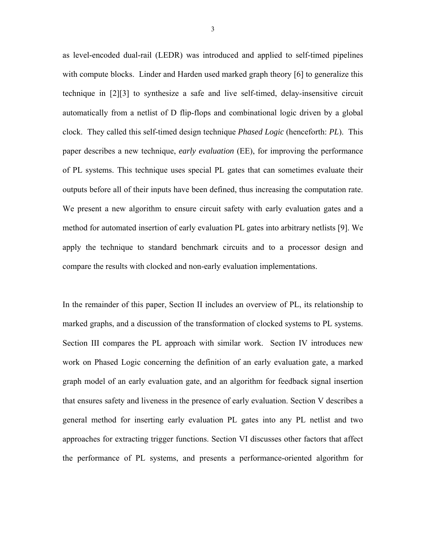as level-encoded dual-rail (LEDR) was introduced and applied to self-timed pipelines with compute blocks. Linder and Harden used marked graph theory [6] to generalize this technique in [2][3] to synthesize a safe and live self-timed, delay-insensitive circuit automatically from a netlist of D flip-flops and combinational logic driven by a global clock. They called this self-timed design technique *Phased Logic* (henceforth: *PL*). This paper describes a new technique, *early evaluation* (EE), for improving the performance of PL systems. This technique uses special PL gates that can sometimes evaluate their outputs before all of their inputs have been defined, thus increasing the computation rate. We present a new algorithm to ensure circuit safety with early evaluation gates and a method for automated insertion of early evaluation PL gates into arbitrary netlists [9]. We apply the technique to standard benchmark circuits and to a processor design and compare the results with clocked and non-early evaluation implementations.

In the remainder of this paper, Section II includes an overview of PL, its relationship to marked graphs, and a discussion of the transformation of clocked systems to PL systems. Section III compares the PL approach with similar work. Section IV introduces new work on Phased Logic concerning the definition of an early evaluation gate, a marked graph model of an early evaluation gate, and an algorithm for feedback signal insertion that ensures safety and liveness in the presence of early evaluation. Section V describes a general method for inserting early evaluation PL gates into any PL netlist and two approaches for extracting trigger functions. Section VI discusses other factors that affect the performance of PL systems, and presents a performance-oriented algorithm for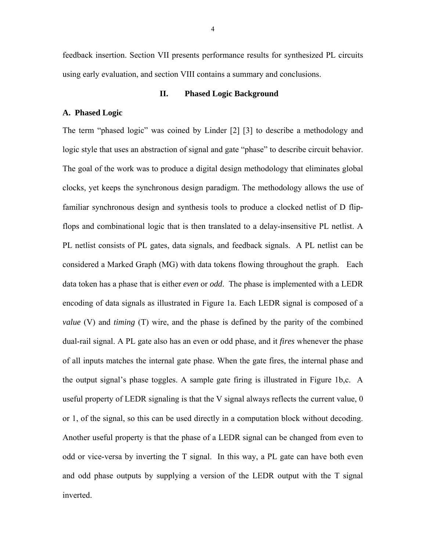feedback insertion. Section VII presents performance results for synthesized PL circuits using early evaluation, and section VIII contains a summary and conclusions.

## **II. Phased Logic Background**

## **A. Phased Logic**

The term "phased logic" was coined by Linder [2] [3] to describe a methodology and logic style that uses an abstraction of signal and gate "phase" to describe circuit behavior. The goal of the work was to produce a digital design methodology that eliminates global clocks, yet keeps the synchronous design paradigm. The methodology allows the use of familiar synchronous design and synthesis tools to produce a clocked netlist of D flipflops and combinational logic that is then translated to a delay-insensitive PL netlist. A PL netlist consists of PL gates, data signals, and feedback signals. A PL netlist can be considered a Marked Graph (MG) with data tokens flowing throughout the graph. Each data token has a phase that is either *even* or *odd*. The phase is implemented with a LEDR encoding of data signals as illustrated in Figure 1a. Each LEDR signal is composed of a *value* (V) and *timing* (T) wire, and the phase is defined by the parity of the combined dual-rail signal. A PL gate also has an even or odd phase, and it *fires* whenever the phase of all inputs matches the internal gate phase. When the gate fires, the internal phase and the output signal's phase toggles. A sample gate firing is illustrated in Figure 1b,c. A useful property of LEDR signaling is that the V signal always reflects the current value, 0 or 1, of the signal, so this can be used directly in a computation block without decoding. Another useful property is that the phase of a LEDR signal can be changed from even to odd or vice-versa by inverting the T signal. In this way, a PL gate can have both even and odd phase outputs by supplying a version of the LEDR output with the T signal inverted.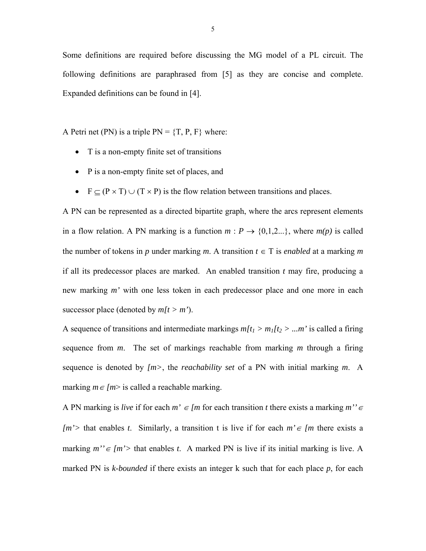Some definitions are required before discussing the MG model of a PL circuit. The following definitions are paraphrased from [5] as they are concise and complete. Expanded definitions can be found in [4].

A Petri net (PN) is a triple  $PN = \{T, P, F\}$  where:

- T is a non-empty finite set of transitions
- P is a non-empty finite set of places, and
- F  $\subseteq$  (P  $\times$  T)  $\cup$  (T  $\times$  P) is the flow relation between transitions and places.

A PN can be represented as a directed bipartite graph, where the arcs represent elements in a flow relation. A PN marking is a function  $m : P \to \{0,1,2...\}$ , where  $m(p)$  is called the number of tokens in *p* under marking *m*. A transition  $t \in T$  is *enabled* at a marking *m* if all its predecessor places are marked. An enabled transition *t* may fire, producing a new marking *m'* with one less token in each predecessor place and one more in each successor place (denoted by  $m[t > m$ <sup>'</sup>).

A sequence of transitions and intermediate markings  $m[t_1 > m_1[t_2 > ... m]$  is called a firing sequence from *m*. The set of markings reachable from marking *m* through a firing sequence is denoted by *[m>*, the *reachability set* of a PN with initial marking *m*. A marking  $m \in \{m\}$  is called a reachable marking.

A PN marking is *live* if for each  $m' \in [m]$  for each transition *t* there exists a marking  $m'' \in$ *[m'>* that enables *t*. Similarly, a transition t is live if for each *m'*∈ *[m* there exists a marking  $m'' \in [m'$  that enables *t*. A marked PN is live if its initial marking is live. A marked PN is *k-bounded* if there exists an integer k such that for each place *p*, for each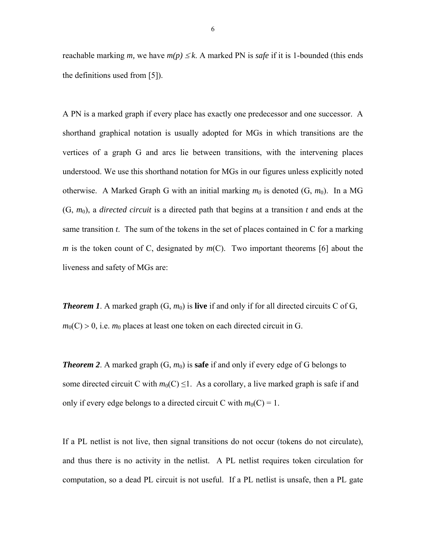reachable marking *m*, we have  $m(p) \leq k$ . A marked PN is *safe* if it is 1-bounded (this ends the definitions used from [5]).

A PN is a marked graph if every place has exactly one predecessor and one successor. A shorthand graphical notation is usually adopted for MGs in which transitions are the vertices of a graph G and arcs lie between transitions, with the intervening places understood. We use this shorthand notation for MGs in our figures unless explicitly noted otherwise. A Marked Graph G with an initial marking  $m_0$  is denoted  $(G, m_0)$ . In a MG  $(G, m_0)$ , a *directed circuit* is a directed path that begins at a transition *t* and ends at the same transition *t*. The sum of the tokens in the set of places contained in C for a marking *m* is the token count of C, designated by *m*(C). Two important theorems [6] about the liveness and safety of MGs are:

**Theorem 1**. A marked graph  $(G, m_0)$  is **live** if and only if for all directed circuits C of G,  $m_0(C) > 0$ , i.e.  $m_0$  places at least one token on each directed circuit in G.

**Theorem 2.** A marked graph  $(G, m_0)$  is **safe** if and only if every edge of G belongs to some directed circuit C with  $m_0(C) \leq 1$ . As a corollary, a live marked graph is safe if and only if every edge belongs to a directed circuit C with  $m_0(C) = 1$ .

If a PL netlist is not live, then signal transitions do not occur (tokens do not circulate), and thus there is no activity in the netlist. A PL netlist requires token circulation for computation, so a dead PL circuit is not useful. If a PL netlist is unsafe, then a PL gate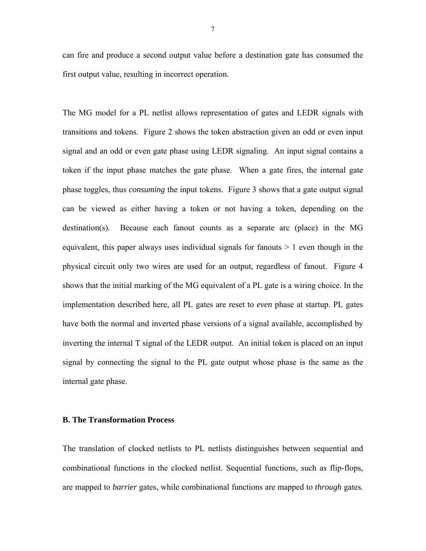can fire and produce a second output value before a destination gate has consumed the first output value, resulting in incorrect operation.

The MG model for a PL netlist allows representation of gates and LEDR signals with transitions and tokens. Figure 2 shows the token abstraction given an odd or even input signal and an odd or even gate phase using LEDR signaling. An input signal contains a token if the input phase matches the gate phase. When a gate fires, the internal gate phase toggles, thus *consuming* the input tokens. Figure 3 shows that a gate output signal can be viewed as either having a token or not having a token, depending on the destination(s). Because each fanout counts as a separate arc (place) in the MG equivalent, this paper always uses individual signals for fanouts  $> 1$  even though in the physical circuit only two wires are used for an output, regardless of fanout. Figure 4 shows that the initial marking of the MG equivalent of a PL gate is a wiring choice. In the implementation described here, all PL gates are reset to *even* phase at startup. PL gates have both the normal and inverted phase versions of a signal available, accomplished by inverting the internal T signal of the LEDR output. An initial token is placed on an input signal by connecting the signal to the PL gate output whose phase is the same as the internal gate phase.

## **B. The Transformation Process**

The translation of clocked netlists to PL netlists distinguishes between sequential and combinational functions in the clocked netlist. Sequential functions, such as flip-flops, are mapped to *barrier* gates, while combinational functions are mapped to *through* gates.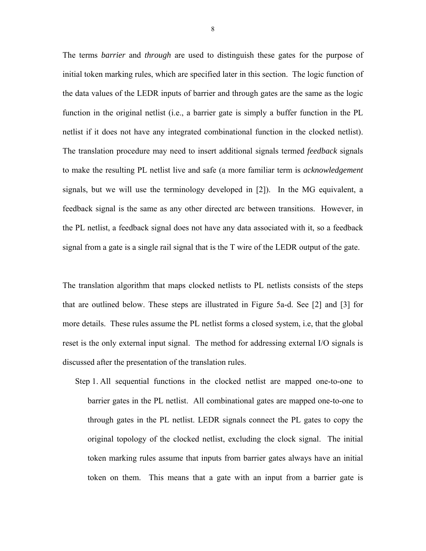The terms *barrier* and *through* are used to distinguish these gates for the purpose of initial token marking rules, which are specified later in this section. The logic function of the data values of the LEDR inputs of barrier and through gates are the same as the logic function in the original netlist (i.e., a barrier gate is simply a buffer function in the PL netlist if it does not have any integrated combinational function in the clocked netlist). The translation procedure may need to insert additional signals termed *feedback* signals to make the resulting PL netlist live and safe (a more familiar term is *acknowledgement*  signals, but we will use the terminology developed in [2]). In the MG equivalent, a feedback signal is the same as any other directed arc between transitions. However, in the PL netlist, a feedback signal does not have any data associated with it, so a feedback signal from a gate is a single rail signal that is the T wire of the LEDR output of the gate.

The translation algorithm that maps clocked netlists to PL netlists consists of the steps that are outlined below. These steps are illustrated in Figure 5a-d. See [2] and [3] for more details. These rules assume the PL netlist forms a closed system, i.e, that the global reset is the only external input signal. The method for addressing external I/O signals is discussed after the presentation of the translation rules.

Step 1. All sequential functions in the clocked netlist are mapped one-to-one to barrier gates in the PL netlist. All combinational gates are mapped one-to-one to through gates in the PL netlist. LEDR signals connect the PL gates to copy the original topology of the clocked netlist, excluding the clock signal. The initial token marking rules assume that inputs from barrier gates always have an initial token on them. This means that a gate with an input from a barrier gate is

8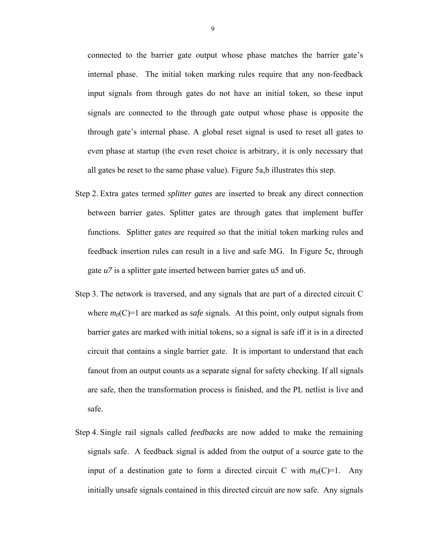connected to the barrier gate output whose phase matches the barrier gate's internal phase. The initial token marking rules require that any non-feedback input signals from through gates do not have an initial token, so these input signals are connected to the through gate output whose phase is opposite the through gate's internal phase. A global reset signal is used to reset all gates to even phase at startup (the even reset choice is arbitrary, it is only necessary that all gates be reset to the same phase value). Figure 5a,b illustrates this step.

- Step 2. Extra gates termed *splitter gates* are inserted to break any direct connection between barrier gates. Splitter gates are through gates that implement buffer functions. Splitter gates are required so that the initial token marking rules and feedback insertion rules can result in a live and safe MG. In Figure 5c, through gate *u7* is a splitter gate inserted between barrier gates u5 and u6.
- Step 3. The network is traversed, and any signals that are part of a directed circuit C where  $m_0(C)=1$  are marked as *safe* signals. At this point, only output signals from barrier gates are marked with initial tokens, so a signal is safe iff it is in a directed circuit that contains a single barrier gate. It is important to understand that each fanout from an output counts as a separate signal for safety checking. If all signals are safe, then the transformation process is finished, and the PL netlist is live and safe.
- Step 4. Single rail signals called *feedbacks* are now added to make the remaining signals safe. A feedback signal is added from the output of a source gate to the input of a destination gate to form a directed circuit C with  $m_0(C)=1$ . Any initially unsafe signals contained in this directed circuit are now safe. Any signals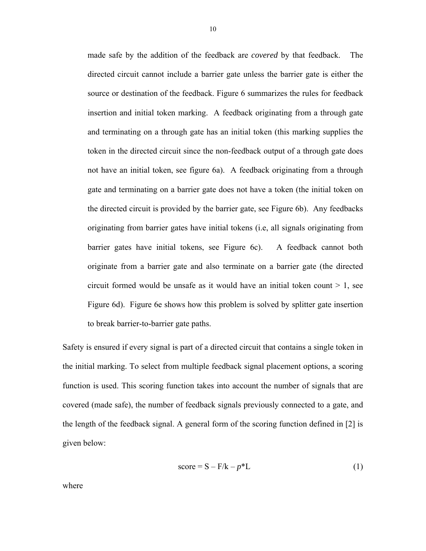made safe by the addition of the feedback are *covered* by that feedback. The directed circuit cannot include a barrier gate unless the barrier gate is either the source or destination of the feedback. Figure 6 summarizes the rules for feedback insertion and initial token marking. A feedback originating from a through gate and terminating on a through gate has an initial token (this marking supplies the token in the directed circuit since the non-feedback output of a through gate does not have an initial token, see figure 6a). A feedback originating from a through gate and terminating on a barrier gate does not have a token (the initial token on the directed circuit is provided by the barrier gate, see Figure 6b). Any feedbacks originating from barrier gates have initial tokens (i.e, all signals originating from barrier gates have initial tokens, see Figure 6c). A feedback cannot both originate from a barrier gate and also terminate on a barrier gate (the directed circuit formed would be unsafe as it would have an initial token count  $> 1$ , see Figure 6d). Figure 6e shows how this problem is solved by splitter gate insertion to break barrier-to-barrier gate paths.

Safety is ensured if every signal is part of a directed circuit that contains a single token in the initial marking. To select from multiple feedback signal placement options, a scoring function is used. This scoring function takes into account the number of signals that are covered (made safe), the number of feedback signals previously connected to a gate, and the length of the feedback signal. A general form of the scoring function defined in [2] is given below:

$$
score = S - F/k - p*L
$$
 (1)

where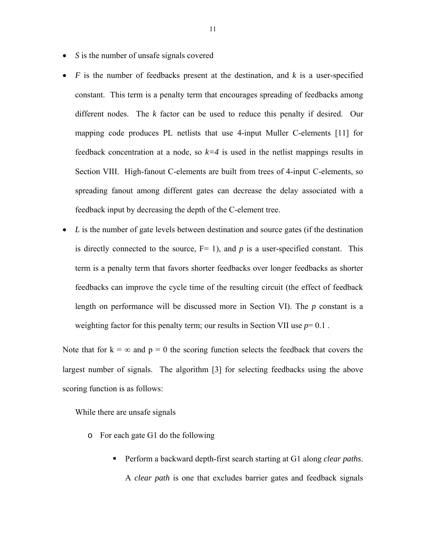- *S* is the number of unsafe signals covered
- *F* is the number of feedbacks present at the destination, and *k* is a user-specified constant. This term is a penalty term that encourages spreading of feedbacks among different nodes. The *k* factor can be used to reduce this penalty if desired. Our mapping code produces PL netlists that use 4-input Muller C-elements [11] for feedback concentration at a node, so  $k=4$  is used in the netlist mappings results in Section VIII. High-fanout C-elements are built from trees of 4-input C-elements, so spreading fanout among different gates can decrease the delay associated with a feedback input by decreasing the depth of the C-element tree.
- *L* is the number of gate levels between destination and source gates (if the destination is directly connected to the source,  $F= 1$ ), and  $p$  is a user-specified constant. This term is a penalty term that favors shorter feedbacks over longer feedbacks as shorter feedbacks can improve the cycle time of the resulting circuit (the effect of feedback length on performance will be discussed more in Section VI). The *p* constant is a weighting factor for this penalty term; our results in Section VII use  $p=0.1$ .

Note that for  $k = \infty$  and  $p = 0$  the scoring function selects the feedback that covers the largest number of signals. The algorithm [3] for selecting feedbacks using the above scoring function is as follows:

While there are unsafe signals

- o For each gate G1 do the following
	- Perform a backward depth-first search starting at G1 along *clear paths*. A *clear path* is one that excludes barrier gates and feedback signals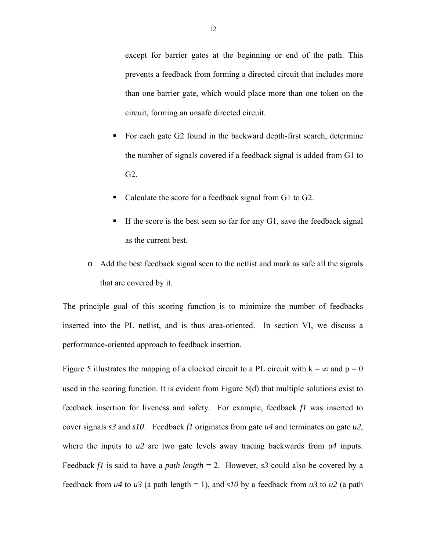except for barrier gates at the beginning or end of the path. This prevents a feedback from forming a directed circuit that includes more than one barrier gate, which would place more than one token on the circuit, forming an unsafe directed circuit.

- For each gate G2 found in the backward depth-first search, determine the number of signals covered if a feedback signal is added from G1 to G2.
- Calculate the score for a feedback signal from G1 to G2.
- If the score is the best seen so far for any  $G1$ , save the feedback signal as the current best.
- o Add the best feedback signal seen to the netlist and mark as safe all the signals that are covered by it.

The principle goal of this scoring function is to minimize the number of feedbacks inserted into the PL netlist, and is thus area-oriented. In section VI, we discuss a performance-oriented approach to feedback insertion.

Figure 5 illustrates the mapping of a clocked circuit to a PL circuit with  $k = \infty$  and  $p = 0$ used in the scoring function. It is evident from Figure 5(d) that multiple solutions exist to feedback insertion for liveness and safety. For example, feedback *f1* was inserted to cover signals *s3* and *s10*. Feedback *f1* originates from gate *u4* and terminates on gate *u2*, where the inputs to  $u^2$  are two gate levels away tracing backwards from  $u^2$  inputs. Feedback *f1* is said to have a *path length* = 2. However, *s3* could also be covered by a feedback from  $u4$  to  $u3$  (a path length = 1), and  $s10$  by a feedback from  $u3$  to  $u2$  (a path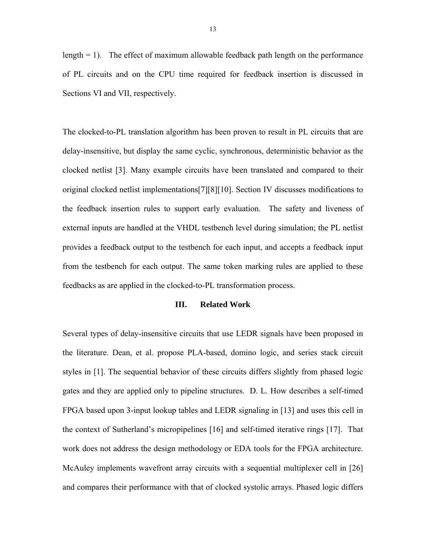length  $= 1$ ). The effect of maximum allowable feedback path length on the performance of PL circuits and on the CPU time required for feedback insertion is discussed in Sections VI and VII, respectively.

The clocked-to-PL translation algorithm has been proven to result in PL circuits that are delay-insensitive, but display the same cyclic, synchronous, deterministic behavior as the clocked netlist [3]. Many example circuits have been translated and compared to their original clocked netlist implementations[7][8][10]. Section IV discusses modifications to the feedback insertion rules to support early evaluation. The safety and liveness of external inputs are handled at the VHDL testbench level during simulation; the PL netlist provides a feedback output to the testbench for each input, and accepts a feedback input from the testbench for each output. The same token marking rules are applied to these feedbacks as are applied in the clocked-to-PL transformation process.

## **III. Related Work**

Several types of delay-insensitive circuits that use LEDR signals have been proposed in the literature. Dean, et al. propose PLA-based, domino logic, and series stack circuit styles in [1]. The sequential behavior of these circuits differs slightly from phased logic gates and they are applied only to pipeline structures. D. L. How describes a self-timed FPGA based upon 3-input lookup tables and LEDR signaling in [13] and uses this cell in the context of Sutherland's micropipelines [16] and self-timed iterative rings [17]. That work does not address the design methodology or EDA tools for the FPGA architecture. McAuley implements wavefront array circuits with a sequential multiplexer cell in [26] and compares their performance with that of clocked systolic arrays. Phased logic differs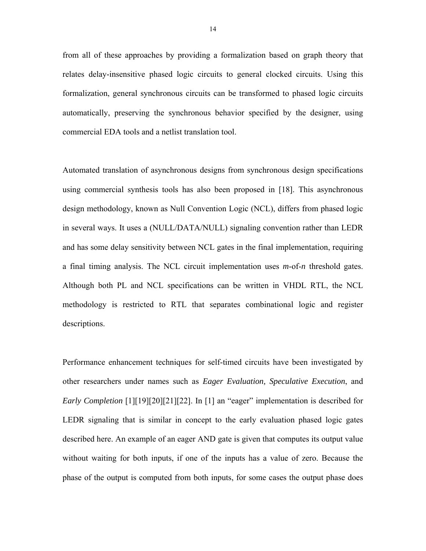from all of these approaches by providing a formalization based on graph theory that relates delay-insensitive phased logic circuits to general clocked circuits. Using this formalization, general synchronous circuits can be transformed to phased logic circuits automatically, preserving the synchronous behavior specified by the designer, using commercial EDA tools and a netlist translation tool.

Automated translation of asynchronous designs from synchronous design specifications using commercial synthesis tools has also been proposed in [18]. This asynchronous design methodology, known as Null Convention Logic (NCL), differs from phased logic in several ways. It uses a (NULL/DATA/NULL) signaling convention rather than LEDR and has some delay sensitivity between NCL gates in the final implementation, requiring a final timing analysis. The NCL circuit implementation uses *m*-of-*n* threshold gates. Although both PL and NCL specifications can be written in VHDL RTL, the NCL methodology is restricted to RTL that separates combinational logic and register descriptions.

Performance enhancement techniques for self-timed circuits have been investigated by other researchers under names such as *Eager Evaluation, Speculative Execution*, and *Early Completion* [1][19][20][21][22]. In [1] an "eager" implementation is described for LEDR signaling that is similar in concept to the early evaluation phased logic gates described here. An example of an eager AND gate is given that computes its output value without waiting for both inputs, if one of the inputs has a value of zero. Because the phase of the output is computed from both inputs, for some cases the output phase does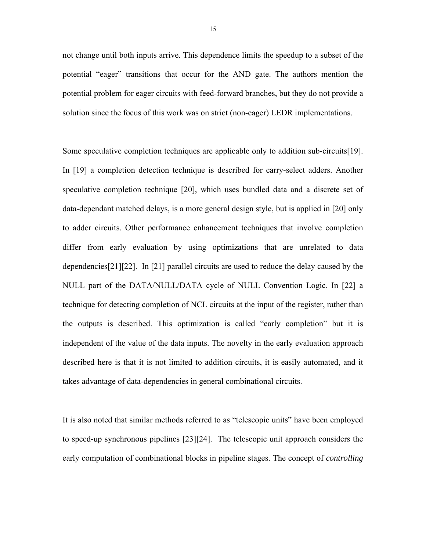not change until both inputs arrive. This dependence limits the speedup to a subset of the potential "eager" transitions that occur for the AND gate. The authors mention the potential problem for eager circuits with feed-forward branches, but they do not provide a solution since the focus of this work was on strict (non-eager) LEDR implementations.

Some speculative completion techniques are applicable only to addition sub-circuits[19]. In [19] a completion detection technique is described for carry-select adders. Another speculative completion technique [20], which uses bundled data and a discrete set of data-dependant matched delays, is a more general design style, but is applied in [20] only to adder circuits. Other performance enhancement techniques that involve completion differ from early evaluation by using optimizations that are unrelated to data dependencies[21][22]. In [21] parallel circuits are used to reduce the delay caused by the NULL part of the DATA/NULL/DATA cycle of NULL Convention Logic. In [22] a technique for detecting completion of NCL circuits at the input of the register, rather than the outputs is described. This optimization is called "early completion" but it is independent of the value of the data inputs. The novelty in the early evaluation approach described here is that it is not limited to addition circuits, it is easily automated, and it takes advantage of data-dependencies in general combinational circuits.

It is also noted that similar methods referred to as "telescopic units" have been employed to speed-up synchronous pipelines [23][24]. The telescopic unit approach considers the early computation of combinational blocks in pipeline stages. The concept of *controlling*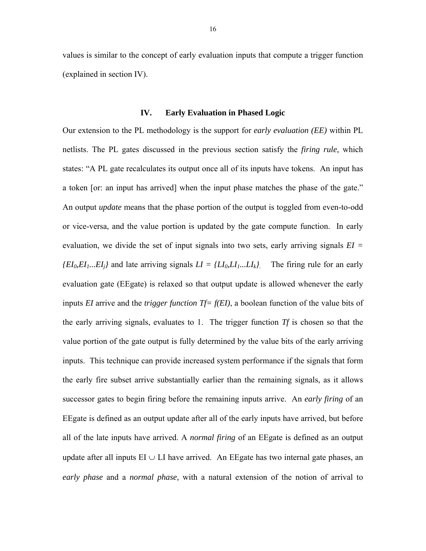values is similar to the concept of early evaluation inputs that compute a trigger function (explained in section IV).

## **IV. Early Evaluation in Phased Logic**

Our extension to the PL methodology is the support for *early evaluation (EE)* within PL netlists. The PL gates discussed in the previous section satisfy the *firing rule,* which states: "A PL gate recalculates its output once all of its inputs have tokens. An input has a token [or: an input has arrived] when the input phase matches the phase of the gate." An output *update* means that the phase portion of the output is toggled from even-to-odd or vice-versa, and the value portion is updated by the gate compute function. In early evaluation, we divide the set of input signals into two sets, early arriving signals *EI =*   $\{EI_0, EI_1, . . . . EI_i\}$  and late arriving signals  $LI = \{LI_0, LI_1, . . . . . LI_k\}$ . The firing rule for an early evaluation gate (EEgate) is relaxed so that output update is allowed whenever the early inputs *EI* arrive and the *trigger function Tf= f(EI)*, a boolean function of the value bits of the early arriving signals, evaluates to 1. The trigger function *Tf* is chosen so that the value portion of the gate output is fully determined by the value bits of the early arriving inputs. This technique can provide increased system performance if the signals that form the early fire subset arrive substantially earlier than the remaining signals, as it allows successor gates to begin firing before the remaining inputs arrive. An *early firing* of an EEgate is defined as an output update after all of the early inputs have arrived, but before all of the late inputs have arrived. A *normal firing* of an EEgate is defined as an output update after all inputs  $EI \cup LI$  have arrived. An EEgate has two internal gate phases, an *early phase* and a *normal phase,* with a natural extension of the notion of arrival to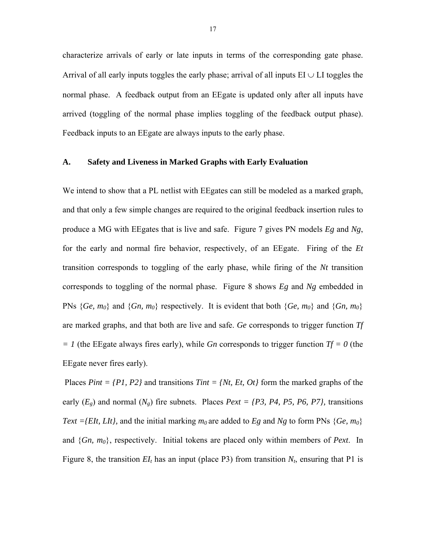characterize arrivals of early or late inputs in terms of the corresponding gate phase. Arrival of all early inputs toggles the early phase; arrival of all inputs  $EI \cup LI$  toggles the normal phase. A feedback output from an EEgate is updated only after all inputs have arrived (toggling of the normal phase implies toggling of the feedback output phase). Feedback inputs to an EEgate are always inputs to the early phase.

## **A. Safety and Liveness in Marked Graphs with Early Evaluation**

We intend to show that a PL netlist with EEgates can still be modeled as a marked graph, and that only a few simple changes are required to the original feedback insertion rules to produce a MG with EEgates that is live and safe. Figure 7 gives PN models *Eg* and *Ng*, for the early and normal fire behavior, respectively, of an EEgate. Firing of the *Et* transition corresponds to toggling of the early phase, while firing of the *Nt* transition corresponds to toggling of the normal phase. Figure 8 shows *Eg* and *Ng* embedded in PNs  ${Ge, m_0}$  and  ${Gn, m_0}$  respectively. It is evident that both  ${Ge, m_0}$  and  ${Gn, m_0}$ are marked graphs, and that both are live and safe. *Ge* corresponds to trigger function *Tf*   $= 1$  (the EEgate always fires early), while *Gn* corresponds to trigger function *Tf* = 0 (the EEgate never fires early).

 Places *Pint = {P1, P2}* and transitions *Tint = {Nt, Et, Ot}* form the marked graphs of the early  $(E_g)$  and normal  $(N_g)$  fire subnets. Places  $Pext = \{P3, P4, P5, P6, P7\}$ , transitions *Text ={EIt, LIt},* and the initial marking  $m_0$  are added to *Eg* and *Ng* to form PNs {*Ge, m<sub>0</sub>*} and {*Gn, m0*}, respectively. Initial tokens are placed only within members of *Pext*. In Figure 8, the transition  $EI_t$  has an input (place P3) from transition  $N_t$ , ensuring that P1 is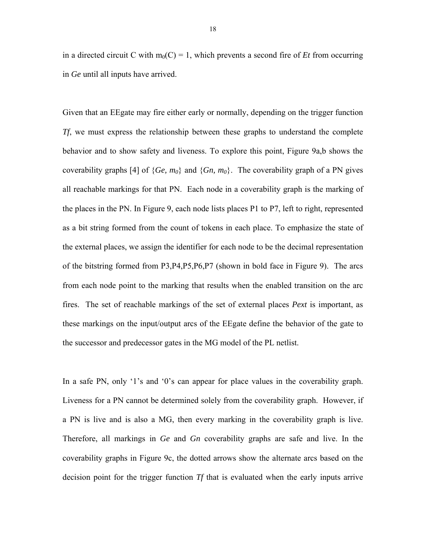in a directed circuit C with  $m_0(C) = 1$ , which prevents a second fire of *Et* from occurring in *Ge* until all inputs have arrived.

Given that an EEgate may fire either early or normally, depending on the trigger function *Tf*, we must express the relationship between these graphs to understand the complete behavior and to show safety and liveness. To explore this point, Figure 9a,b shows the coverability graphs [4] of  ${Ge, m_0}$  and  ${Gn, m_0}$ . The coverability graph of a PN gives all reachable markings for that PN. Each node in a coverability graph is the marking of the places in the PN. In Figure 9, each node lists places P1 to P7, left to right, represented as a bit string formed from the count of tokens in each place. To emphasize the state of the external places, we assign the identifier for each node to be the decimal representation of the bitstring formed from P3,P4,P5,P6,P7 (shown in bold face in Figure 9). The arcs from each node point to the marking that results when the enabled transition on the arc fires. The set of reachable markings of the set of external places *Pext* is important, as these markings on the input/output arcs of the EEgate define the behavior of the gate to the successor and predecessor gates in the MG model of the PL netlist.

In a safe PN, only '1's and '0's can appear for place values in the coverability graph. Liveness for a PN cannot be determined solely from the coverability graph. However, if a PN is live and is also a MG, then every marking in the coverability graph is live. Therefore, all markings in *Ge* and *Gn* coverability graphs are safe and live. In the coverability graphs in Figure 9c, the dotted arrows show the alternate arcs based on the decision point for the trigger function *Tf* that is evaluated when the early inputs arrive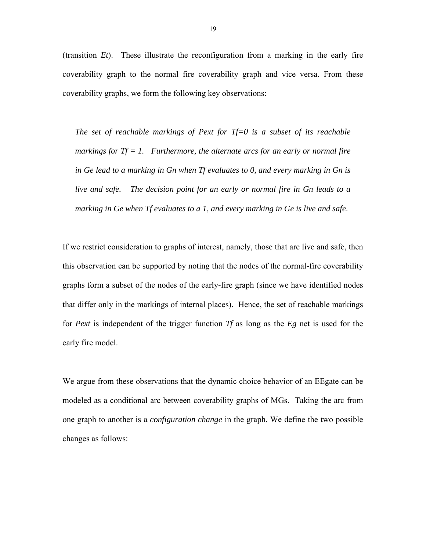(transition *Et*). These illustrate the reconfiguration from a marking in the early fire coverability graph to the normal fire coverability graph and vice versa. From these coverability graphs, we form the following key observations:

*The set of reachable markings of Pext for Tf=0 is a subset of its reachable markings for Tf = 1. Furthermore, the alternate arcs for an early or normal fire in Ge lead to a marking in Gn when Tf evaluates to 0, and every marking in Gn is live and safe. The decision point for an early or normal fire in Gn leads to a marking in Ge when Tf evaluates to a 1, and every marking in Ge is live and safe*.

If we restrict consideration to graphs of interest, namely, those that are live and safe, then this observation can be supported by noting that the nodes of the normal-fire coverability graphs form a subset of the nodes of the early-fire graph (since we have identified nodes that differ only in the markings of internal places). Hence, the set of reachable markings for *Pext* is independent of the trigger function *Tf* as long as the *Eg* net is used for the early fire model.

We argue from these observations that the dynamic choice behavior of an EEgate can be modeled as a conditional arc between coverability graphs of MGs. Taking the arc from one graph to another is a *configuration change* in the graph. We define the two possible changes as follows: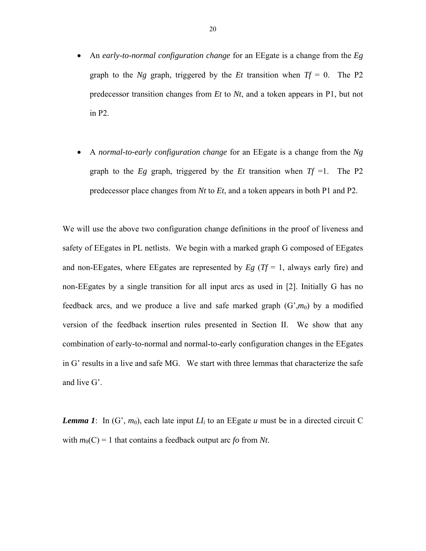- An *early-to-normal configuration change* for an EEgate is a change from the *Eg* graph to the *Ng* graph, triggered by the *Et* transition when  $Tf = 0$ . The P2 predecessor transition changes from *Et* to *Nt*, and a token appears in P1, but not in P2.
- A *normal-to-early configuration change* for an EEgate is a change from the *Ng* graph to the  $E_g$  graph, triggered by the  $Et$  transition when  $Tf = 1$ . The P2 predecessor place changes from *Nt* to *Et*, and a token appears in both P1 and P2.

We will use the above two configuration change definitions in the proof of liveness and safety of EEgates in PL netlists. We begin with a marked graph G composed of EEgates and non-EEgates, where EEgates are represented by  $E_g$  ( $T_f = 1$ , always early fire) and non-EEgates by a single transition for all input arcs as used in [2]. Initially G has no feedback arcs, and we produce a live and safe marked graph  $(G', m_0)$  by a modified version of the feedback insertion rules presented in Section II. We show that any combination of early-to-normal and normal-to-early configuration changes in the EEgates in G' results in a live and safe MG. We start with three lemmas that characterize the safe and live G'.

*Lemma 1*: In  $(G', m_0)$ , each late input  $LI_i$  to an EEgate *u* must be in a directed circuit C with  $m_0(C) = 1$  that contains a feedback output arc *fo* from *Nt*.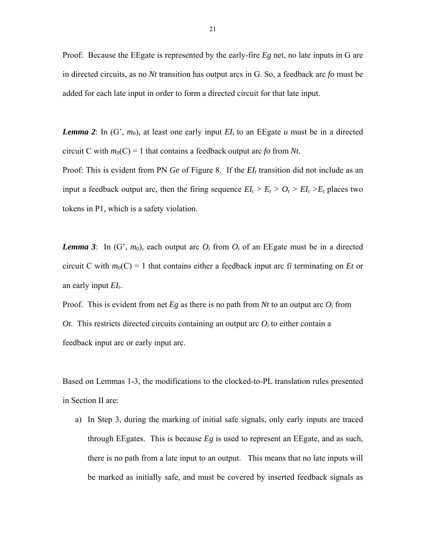Proof: Because the EEgate is represented by the early-fire *Eg* net, no late inputs in G are in directed circuits, as no *Nt* transition has output arcs in G. So, a feedback arc *fo* must be added for each late input in order to form a directed circuit for that late input.

*Lemma 2*: In  $(G', m_0)$ , at least one early input  $EI_i$  to an EEgate *u* must be in a directed circuit C with  $m_0(C) = 1$  that contains a feedback output arc *fo* from *Nt*.

Proof: This is evident from PN *Ge* of Figure 8. If the *EI<sub>t</sub>* transition did not include as an input a feedback output arc, then the firing sequence  $EI_t > E_t > O_t > EI_t > E_t$  places two tokens in P1, which is a safety violation.

*Lemma 3*: In  $(G', m_0)$ , each output arc  $O_i$  from  $O_i$  of an EE gate must be in a directed circuit C with  $m_0(C) = 1$  that contains either a feedback input arc fi terminating on *Et* or an early input *EIi*.

Proof. This is evident from net  $E_g$  as there is no path from  $Nt$  to an output arc  $O_i$  from *Ot*. This restricts directed circuits containing an output arc  $O_i$  to either contain a feedback input arc or early input arc.

Based on Lemmas 1-3, the modifications to the clocked-to-PL translation rules presented in Section II are:

a) In Step 3, during the marking of initial safe signals, only early inputs are traced through EEgates. This is because *Eg* is used to represent an EEgate, and as such, there is no path from a late input to an output. This means that no late inputs will be marked as initially safe, and must be covered by inserted feedback signals as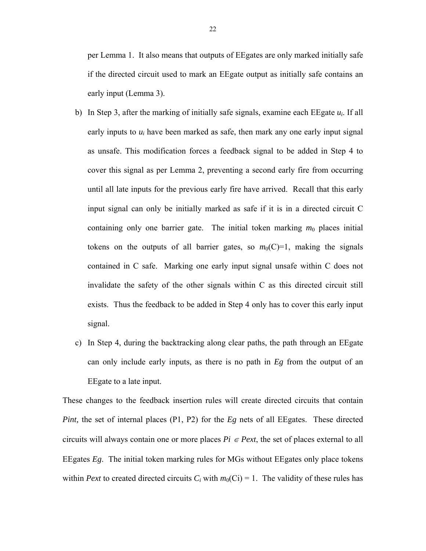per Lemma 1. It also means that outputs of EEgates are only marked initially safe if the directed circuit used to mark an EEgate output as initially safe contains an early input (Lemma 3).

- b) In Step 3, after the marking of initially safe signals, examine each  $E$ Egate  $u_i$ . If all early inputs to *ui* have been marked as safe, then mark any one early input signal as unsafe. This modification forces a feedback signal to be added in Step 4 to cover this signal as per Lemma 2, preventing a second early fire from occurring until all late inputs for the previous early fire have arrived. Recall that this early input signal can only be initially marked as safe if it is in a directed circuit C containing only one barrier gate. The initial token marking  $m_0$  places initial tokens on the outputs of all barrier gates, so  $m_0(C)=1$ , making the signals contained in C safe. Marking one early input signal unsafe within C does not invalidate the safety of the other signals within C as this directed circuit still exists. Thus the feedback to be added in Step 4 only has to cover this early input signal.
- c) In Step 4, during the backtracking along clear paths, the path through an EEgate can only include early inputs, as there is no path in *Eg* from the output of an EEgate to a late input.

These changes to the feedback insertion rules will create directed circuits that contain *Pint*, the set of internal places (P1, P2) for the *Eg* nets of all EEgates. These directed circuits will always contain one or more places  $Pi \in$  *Pext*, the set of places external to all EEgates *Eg*. The initial token marking rules for MGs without EEgates only place tokens within *Pext* to created directed circuits  $C_i$  with  $m_0(C_i) = 1$ . The validity of these rules has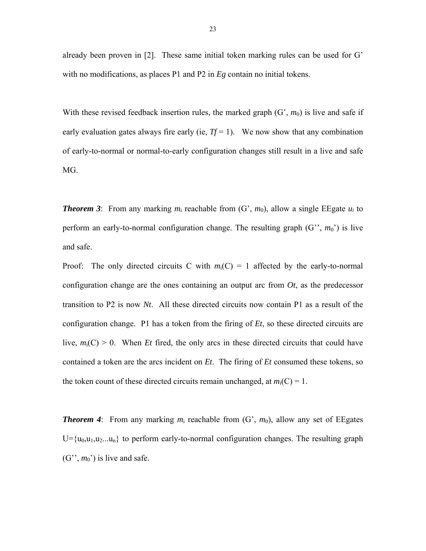already been proven in [2]. These same initial token marking rules can be used for G' with no modifications, as places P1 and P2 in *Eg* contain no initial tokens.

With these revised feedback insertion rules, the marked graph  $(G', m_0)$  is live and safe if early evaluation gates always fire early (ie,  $Tf = 1$ ). We now show that any combination of early-to-normal or normal-to-early configuration changes still result in a live and safe MG.

*Theorem 3*: From any marking  $m_i$  reachable from  $(G', m_0)$ , allow a single EEgate  $u_i$  to perform an early-to-normal configuration change. The resulting graph  $(G^{\prime\prime}, m_0^{\prime})$  is live and safe.

Proof: The only directed circuits C with  $m_i(C) = 1$  affected by the early-to-normal configuration change are the ones containing an output arc from  $Ot$ , as the predecessor transition to P2 is now *Nt*. All these directed circuits now contain P1 as a result of the configuration change. P1 has a token from the firing of *Et*, so these directed circuits are live,  $m_i(C) > 0$ . When *Et* fired, the only arcs in these directed circuits that could have contained a token are the arcs incident on *Et*. The firing of *Et* consumed these tokens, so the token count of these directed circuits remain unchanged, at  $m_i(C) = 1$ .

*Theorem 4*: From any marking  $m_i$  reachable from  $(G', m_0)$ , allow any set of EEgates  $U = {u_0, u_1, u_2, \ldots, u_n}$  to perform early-to-normal configuration changes. The resulting graph  $(G^{\prime\prime}, m_0^{\prime})$  is live and safe.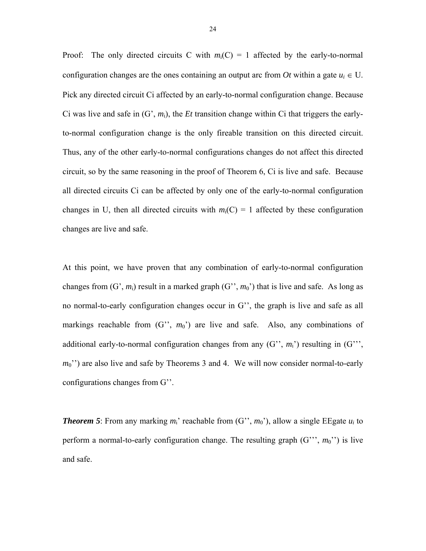Proof: The only directed circuits C with  $m_i(C) = 1$  affected by the early-to-normal configuration changes are the ones containing an output arc from *Ot* within a gate  $u_i \in U$ . Pick any directed circuit Ci affected by an early-to-normal configuration change. Because Ci was live and safe in (G', *m*i), the *Et* transition change within Ci that triggers the earlyto-normal configuration change is the only fireable transition on this directed circuit. Thus, any of the other early-to-normal configurations changes do not affect this directed circuit, so by the same reasoning in the proof of Theorem 6, Ci is live and safe. Because all directed circuits Ci can be affected by only one of the early-to-normal configuration changes in U, then all directed circuits with  $m_i(C) = 1$  affected by these configuration changes are live and safe.

At this point, we have proven that any combination of early-to-normal configuration changes from  $(G', m_i)$  result in a marked graph  $(G'', m_0')$  that is live and safe. As long as no normal-to-early configuration changes occur in G'', the graph is live and safe as all markings reachable from  $(G'', m_0')$  are live and safe. Also, any combinations of additional early-to-normal configuration changes from any  $(G^{\prime\prime}, m_i^{\prime})$  resulting in  $(G^{\prime\prime\prime}, m_i^{\prime})$ *m*<sup>0</sup>") are also live and safe by Theorems 3 and 4. We will now consider normal-to-early configurations changes from G''.

**Theorem 5**: From any marking  $m_i$ ' reachable from  $(G^{\prime\prime}, m_0^{\prime\prime})$ , allow a single EEgate  $u_i$  to perform a normal-to-early configuration change. The resulting graph  $(G''', m_0'')$  is live and safe.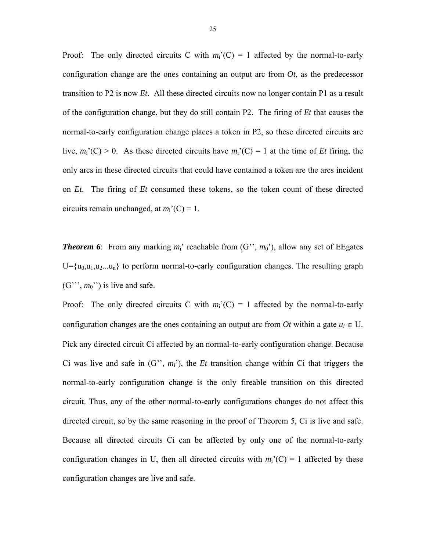Proof: The only directed circuits C with  $m_i'(C) = 1$  affected by the normal-to-early configuration change are the ones containing an output arc from *Ot*, as the predecessor transition to P2 is now *Et*. All these directed circuits now no longer contain P1 as a result of the configuration change, but they do still contain P2. The firing of *Et* that causes the normal-to-early configuration change places a token in P2, so these directed circuits are live,  $m_i'(C) > 0$ . As these directed circuits have  $m_i'(C) = 1$  at the time of *Et* firing, the only arcs in these directed circuits that could have contained a token are the arcs incident on *Et*. The firing of *Et* consumed these tokens, so the token count of these directed circuits remain unchanged, at  $m_i'(C) = 1$ .

*Theorem 6*: From any marking  $m_i$ ' reachable from  $(G^{\prime\prime}, m_0^{\prime})$ , allow any set of EEgates  $U = {u_0, u_1, u_2, \ldots, u_n}$  to perform normal-to-early configuration changes. The resulting graph  $(G''', m_0'')$  is live and safe.

Proof: The only directed circuits C with  $m_i'(C) = 1$  affected by the normal-to-early configuration changes are the ones containing an output arc from *Ot* within a gate  $u_i \in U$ . Pick any directed circuit Ci affected by an normal-to-early configuration change. Because Ci was live and safe in  $(G^{\prime\prime}, m_i^{\prime})$ , the *Et* transition change within Ci that triggers the normal-to-early configuration change is the only fireable transition on this directed circuit. Thus, any of the other normal-to-early configurations changes do not affect this directed circuit, so by the same reasoning in the proof of Theorem 5, Ci is live and safe. Because all directed circuits Ci can be affected by only one of the normal-to-early configuration changes in U, then all directed circuits with  $m_i^{\prime\prime}$  (C) = 1 affected by these configuration changes are live and safe.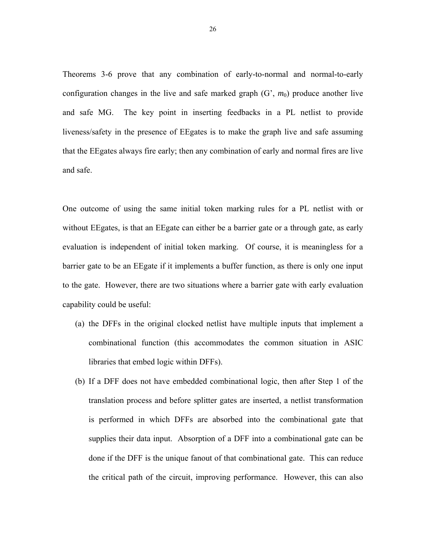Theorems 3-6 prove that any combination of early-to-normal and normal-to-early configuration changes in the live and safe marked graph  $(G, m_0)$  produce another live and safe MG. The key point in inserting feedbacks in a PL netlist to provide liveness/safety in the presence of EEgates is to make the graph live and safe assuming that the EEgates always fire early; then any combination of early and normal fires are live and safe.

One outcome of using the same initial token marking rules for a PL netlist with or without EEgates, is that an EEgate can either be a barrier gate or a through gate, as early evaluation is independent of initial token marking. Of course, it is meaningless for a barrier gate to be an EEgate if it implements a buffer function, as there is only one input to the gate. However, there are two situations where a barrier gate with early evaluation capability could be useful:

- (a) the DFFs in the original clocked netlist have multiple inputs that implement a combinational function (this accommodates the common situation in ASIC libraries that embed logic within DFFs).
- (b) If a DFF does not have embedded combinational logic, then after Step 1 of the translation process and before splitter gates are inserted, a netlist transformation is performed in which DFFs are absorbed into the combinational gate that supplies their data input. Absorption of a DFF into a combinational gate can be done if the DFF is the unique fanout of that combinational gate. This can reduce the critical path of the circuit, improving performance. However, this can also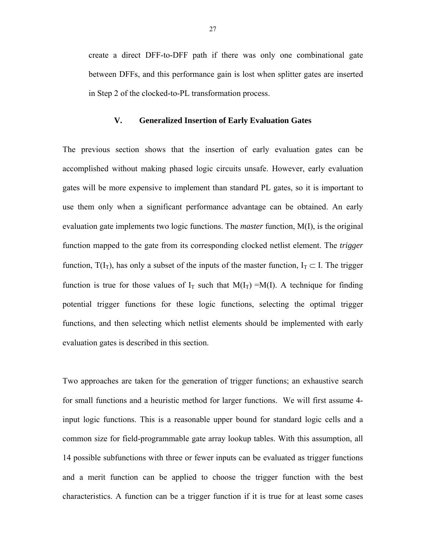create a direct DFF-to-DFF path if there was only one combinational gate between DFFs, and this performance gain is lost when splitter gates are inserted in Step 2 of the clocked-to-PL transformation process.

## **V. Generalized Insertion of Early Evaluation Gates**

The previous section shows that the insertion of early evaluation gates can be accomplished without making phased logic circuits unsafe. However, early evaluation gates will be more expensive to implement than standard PL gates, so it is important to use them only when a significant performance advantage can be obtained. An early evaluation gate implements two logic functions. The *master* function, M(I), is the original function mapped to the gate from its corresponding clocked netlist element. The *trigger* function,  $T(I_T)$ , has only a subset of the inputs of the master function,  $I_T \subset I$ . The trigger function is true for those values of  $I_T$  such that  $M(I_T) = M(I)$ . A technique for finding potential trigger functions for these logic functions, selecting the optimal trigger functions, and then selecting which netlist elements should be implemented with early evaluation gates is described in this section.

Two approaches are taken for the generation of trigger functions; an exhaustive search for small functions and a heuristic method for larger functions. We will first assume 4 input logic functions. This is a reasonable upper bound for standard logic cells and a common size for field-programmable gate array lookup tables. With this assumption, all 14 possible subfunctions with three or fewer inputs can be evaluated as trigger functions and a merit function can be applied to choose the trigger function with the best characteristics. A function can be a trigger function if it is true for at least some cases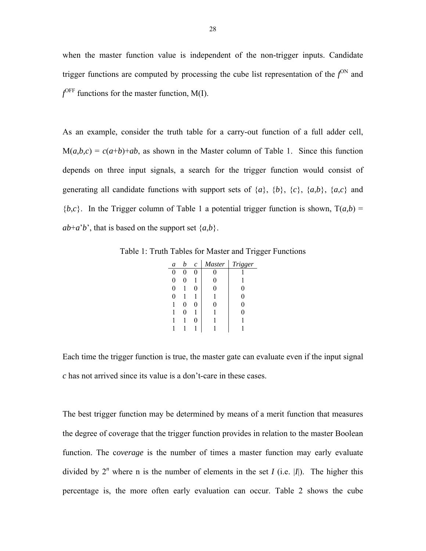when the master function value is independent of the non-trigger inputs. Candidate trigger functions are computed by processing the cube list representation of the  $f^{ON}$  and  $f^{\text{OFF}}$  functions for the master function, M(I).

As an example, consider the truth table for a carry-out function of a full adder cell,  $M(a,b,c) = c(a+b)+ab$ , as shown in the Master column of Table 1. Since this function depends on three input signals, a search for the trigger function would consist of generating all candidate functions with support sets of  $\{a\}$ ,  $\{b\}$ ,  $\{c\}$ ,  $\{a,b\}$ ,  $\{a,c\}$  and  ${b,c}$ . In the Trigger column of Table 1 a potential trigger function is shown,  $T(a,b)$  =  $ab+a'b'$ , that is based on the support set  $\{a,b\}$ .

Table 1: Truth Tables for Master and Trigger Functions

| a              | h | $\mathcal{C}_{0}$ | <b>Master</b> | Trigger |
|----------------|---|-------------------|---------------|---------|
| 0              |   |                   |               |         |
| 0              | U |                   | 0             |         |
| $\overline{0}$ |   | 0                 | O             | 0       |
| 0              |   |                   |               | 0       |
|                | 0 | 0                 | 0             | 0       |
|                | 0 |                   |               | 0       |
|                |   | 0                 |               |         |
|                |   |                   |               |         |

Each time the trigger function is true, the master gate can evaluate even if the input signal *c* has not arrived since its value is a don't-care in these cases.

The best trigger function may be determined by means of a merit function that measures the degree of coverage that the trigger function provides in relation to the master Boolean function. The c*overage* is the number of times a master function may early evaluate divided by  $2^n$  where n is the number of elements in the set *I* (i.e. |*I*|). The higher this percentage is, the more often early evaluation can occur. Table 2 shows the cube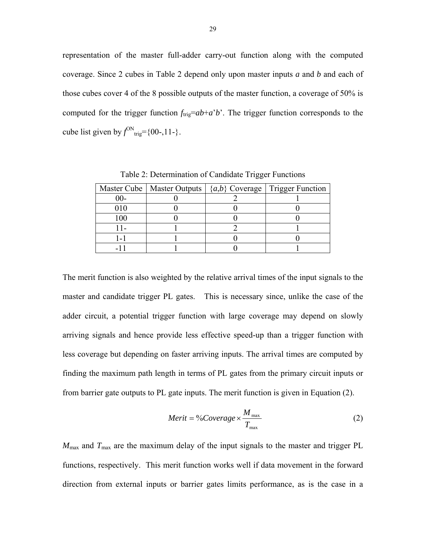representation of the master full-adder carry-out function along with the computed coverage. Since 2 cubes in Table 2 depend only upon master inputs *a* and *b* and each of those cubes cover 4 of the 8 possible outputs of the master function, a coverage of 50% is computed for the trigger function  $f_{\text{trig}}=ab+a'b'$ . The trigger function corresponds to the cube list given by  $f^{\text{ON}}_{\text{trig}} = \{00-, 11-\}$ .

|     |  | Master Cube   Master Outputs   $\{a,b\}$ Coverage   Trigger Function |
|-----|--|----------------------------------------------------------------------|
| 00- |  |                                                                      |
| )10 |  |                                                                      |
| 100 |  |                                                                      |
|     |  |                                                                      |
|     |  |                                                                      |
|     |  |                                                                      |

Table 2: Determination of Candidate Trigger Functions

The merit function is also weighted by the relative arrival times of the input signals to the master and candidate trigger PL gates. This is necessary since, unlike the case of the adder circuit, a potential trigger function with large coverage may depend on slowly arriving signals and hence provide less effective speed-up than a trigger function with less coverage but depending on faster arriving inputs. The arrival times are computed by finding the maximum path length in terms of PL gates from the primary circuit inputs or from barrier gate outputs to PL gate inputs. The merit function is given in Equation (2).

$$
Merit = \frac{9}{Coverage} \times \frac{M_{\text{max}}}{T_{\text{max}}} \tag{2}
$$

 $M_{\text{max}}$  and  $T_{\text{max}}$  are the maximum delay of the input signals to the master and trigger PL functions, respectively. This merit function works well if data movement in the forward direction from external inputs or barrier gates limits performance, as is the case in a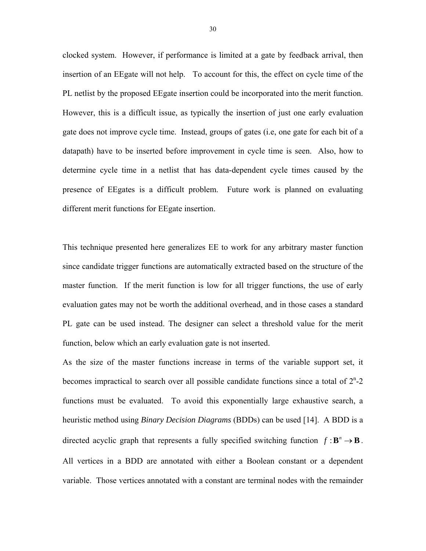clocked system. However, if performance is limited at a gate by feedback arrival, then insertion of an EEgate will not help. To account for this, the effect on cycle time of the PL netlist by the proposed EEgate insertion could be incorporated into the merit function. However, this is a difficult issue, as typically the insertion of just one early evaluation gate does not improve cycle time. Instead, groups of gates (i.e, one gate for each bit of a datapath) have to be inserted before improvement in cycle time is seen. Also, how to determine cycle time in a netlist that has data-dependent cycle times caused by the presence of EEgates is a difficult problem. Future work is planned on evaluating different merit functions for EEgate insertion.

This technique presented here generalizes EE to work for any arbitrary master function since candidate trigger functions are automatically extracted based on the structure of the master function. If the merit function is low for all trigger functions, the use of early evaluation gates may not be worth the additional overhead, and in those cases a standard PL gate can be used instead. The designer can select a threshold value for the merit function, below which an early evaluation gate is not inserted.

As the size of the master functions increase in terms of the variable support set, it becomes impractical to search over all possible candidate functions since a total of  $2<sup>n</sup> - 2$ functions must be evaluated. To avoid this exponentially large exhaustive search, a heuristic method using *Binary Decision Diagrams* (BDDs) can be used [14]. A BDD is a directed acyclic graph that represents a fully specified switching function  $f : \mathbf{B}^n \to \mathbf{B}$ . All vertices in a BDD are annotated with either a Boolean constant or a dependent variable. Those vertices annotated with a constant are terminal nodes with the remainder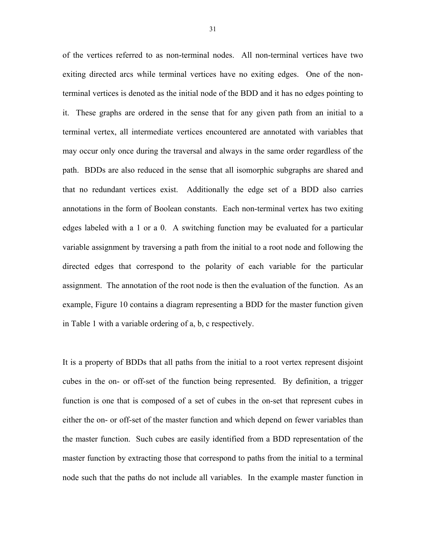of the vertices referred to as non-terminal nodes. All non-terminal vertices have two exiting directed arcs while terminal vertices have no exiting edges. One of the nonterminal vertices is denoted as the initial node of the BDD and it has no edges pointing to it. These graphs are ordered in the sense that for any given path from an initial to a terminal vertex, all intermediate vertices encountered are annotated with variables that may occur only once during the traversal and always in the same order regardless of the path. BDDs are also reduced in the sense that all isomorphic subgraphs are shared and that no redundant vertices exist. Additionally the edge set of a BDD also carries annotations in the form of Boolean constants. Each non-terminal vertex has two exiting edges labeled with a 1 or a 0. A switching function may be evaluated for a particular variable assignment by traversing a path from the initial to a root node and following the directed edges that correspond to the polarity of each variable for the particular assignment. The annotation of the root node is then the evaluation of the function. As an example, Figure 10 contains a diagram representing a BDD for the master function given in Table 1 with a variable ordering of a, b, c respectively.

It is a property of BDDs that all paths from the initial to a root vertex represent disjoint cubes in the on- or off-set of the function being represented. By definition, a trigger function is one that is composed of a set of cubes in the on-set that represent cubes in either the on- or off-set of the master function and which depend on fewer variables than the master function. Such cubes are easily identified from a BDD representation of the master function by extracting those that correspond to paths from the initial to a terminal node such that the paths do not include all variables. In the example master function in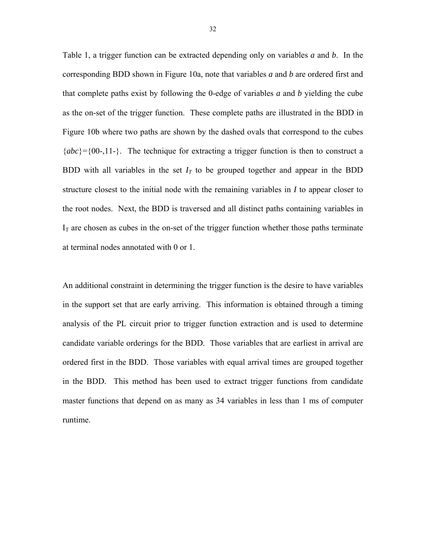Table 1, a trigger function can be extracted depending only on variables *a* and *b*. In the corresponding BDD shown in Figure 10a, note that variables *a* and *b* are ordered first and that complete paths exist by following the 0-edge of variables *a* and *b* yielding the cube as the on-set of the trigger function. These complete paths are illustrated in the BDD in Figure 10b where two paths are shown by the dashed ovals that correspond to the cubes  ${abc}$ ={00-,11-}. The technique for extracting a trigger function is then to construct a BDD with all variables in the set  $I_T$  to be grouped together and appear in the BDD structure closest to the initial node with the remaining variables in *I* to appear closer to the root nodes. Next, the BDD is traversed and all distinct paths containing variables in  $I<sub>T</sub>$  are chosen as cubes in the on-set of the trigger function whether those paths terminate at terminal nodes annotated with 0 or 1.

An additional constraint in determining the trigger function is the desire to have variables in the support set that are early arriving. This information is obtained through a timing analysis of the PL circuit prior to trigger function extraction and is used to determine candidate variable orderings for the BDD. Those variables that are earliest in arrival are ordered first in the BDD. Those variables with equal arrival times are grouped together in the BDD. This method has been used to extract trigger functions from candidate master functions that depend on as many as 34 variables in less than 1 ms of computer runtime.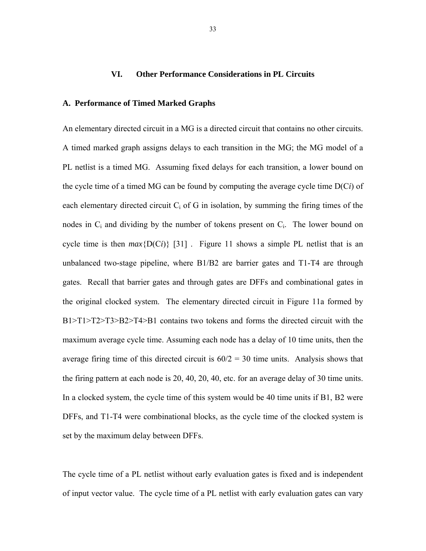## **VI. Other Performance Considerations in PL Circuits**

## **A. Performance of Timed Marked Graphs**

An elementary directed circuit in a MG is a directed circuit that contains no other circuits. A timed marked graph assigns delays to each transition in the MG; the MG model of a PL netlist is a timed MG. Assuming fixed delays for each transition, a lower bound on the cycle time of a timed MG can be found by computing the average cycle time D(C*i*) of each elementary directed circuit  $C_i$  of G in isolation, by summing the firing times of the nodes in  $C_i$  and dividing by the number of tokens present on  $C_i$ . The lower bound on cycle time is then  $max\{D(C_i)\}$  [31]. Figure 11 shows a simple PL netlist that is an unbalanced two-stage pipeline, where B1/B2 are barrier gates and T1-T4 are through gates. Recall that barrier gates and through gates are DFFs and combinational gates in the original clocked system. The elementary directed circuit in Figure 11a formed by B1>T1>T2>T3>B2>T4>B1 contains two tokens and forms the directed circuit with the maximum average cycle time. Assuming each node has a delay of 10 time units, then the average firing time of this directed circuit is  $60/2 = 30$  time units. Analysis shows that the firing pattern at each node is 20, 40, 20, 40, etc. for an average delay of 30 time units. In a clocked system, the cycle time of this system would be 40 time units if B1, B2 were DFFs, and T1-T4 were combinational blocks, as the cycle time of the clocked system is set by the maximum delay between DFFs.

The cycle time of a PL netlist without early evaluation gates is fixed and is independent of input vector value. The cycle time of a PL netlist with early evaluation gates can vary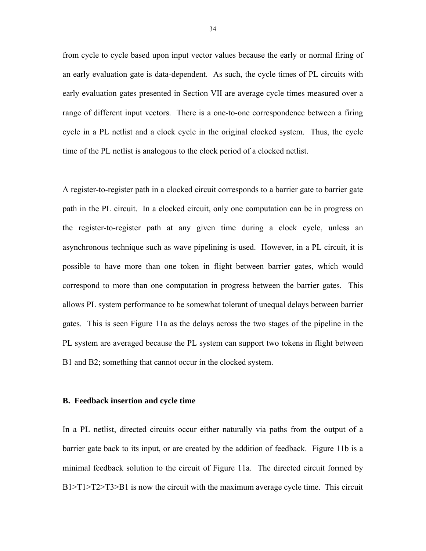from cycle to cycle based upon input vector values because the early or normal firing of an early evaluation gate is data-dependent. As such, the cycle times of PL circuits with early evaluation gates presented in Section VII are average cycle times measured over a range of different input vectors. There is a one-to-one correspondence between a firing cycle in a PL netlist and a clock cycle in the original clocked system. Thus, the cycle time of the PL netlist is analogous to the clock period of a clocked netlist.

A register-to-register path in a clocked circuit corresponds to a barrier gate to barrier gate path in the PL circuit. In a clocked circuit, only one computation can be in progress on the register-to-register path at any given time during a clock cycle, unless an asynchronous technique such as wave pipelining is used. However, in a PL circuit, it is possible to have more than one token in flight between barrier gates, which would correspond to more than one computation in progress between the barrier gates. This allows PL system performance to be somewhat tolerant of unequal delays between barrier gates. This is seen Figure 11a as the delays across the two stages of the pipeline in the PL system are averaged because the PL system can support two tokens in flight between B1 and B2; something that cannot occur in the clocked system.

#### **B. Feedback insertion and cycle time**

In a PL netlist, directed circuits occur either naturally via paths from the output of a barrier gate back to its input, or are created by the addition of feedback. Figure 11b is a minimal feedback solution to the circuit of Figure 11a. The directed circuit formed by B1>T1>T2>T3>B1 is now the circuit with the maximum average cycle time. This circuit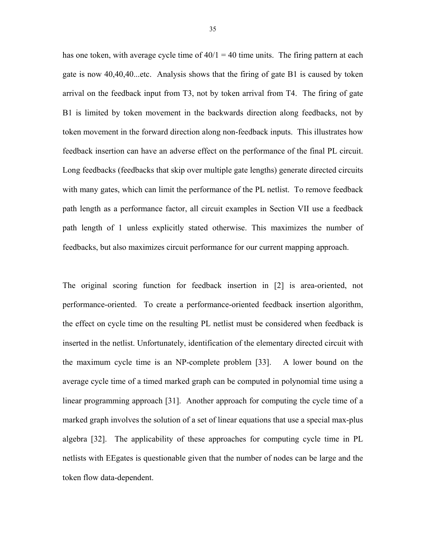has one token, with average cycle time of  $40/1 = 40$  time units. The firing pattern at each gate is now 40,40,40...etc. Analysis shows that the firing of gate B1 is caused by token arrival on the feedback input from T3, not by token arrival from T4. The firing of gate B1 is limited by token movement in the backwards direction along feedbacks, not by token movement in the forward direction along non-feedback inputs. This illustrates how feedback insertion can have an adverse effect on the performance of the final PL circuit. Long feedbacks (feedbacks that skip over multiple gate lengths) generate directed circuits with many gates, which can limit the performance of the PL netlist. To remove feedback path length as a performance factor, all circuit examples in Section VII use a feedback path length of 1 unless explicitly stated otherwise. This maximizes the number of feedbacks, but also maximizes circuit performance for our current mapping approach.

The original scoring function for feedback insertion in [2] is area-oriented, not performance-oriented. To create a performance-oriented feedback insertion algorithm, the effect on cycle time on the resulting PL netlist must be considered when feedback is inserted in the netlist. Unfortunately, identification of the elementary directed circuit with the maximum cycle time is an NP-complete problem [33]. A lower bound on the average cycle time of a timed marked graph can be computed in polynomial time using a linear programming approach [31]. Another approach for computing the cycle time of a marked graph involves the solution of a set of linear equations that use a special max-plus algebra [32]. The applicability of these approaches for computing cycle time in PL netlists with EEgates is questionable given that the number of nodes can be large and the token flow data-dependent.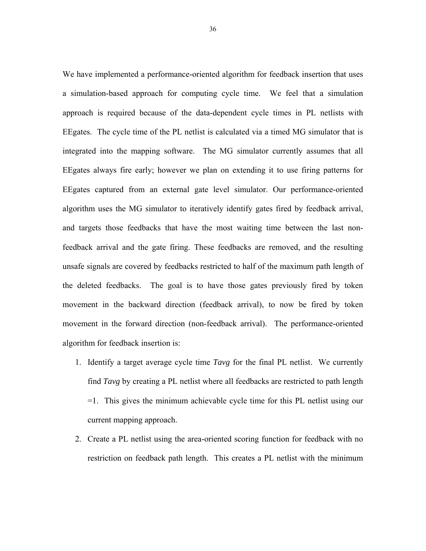We have implemented a performance-oriented algorithm for feedback insertion that uses a simulation-based approach for computing cycle time. We feel that a simulation approach is required because of the data-dependent cycle times in PL netlists with EEgates. The cycle time of the PL netlist is calculated via a timed MG simulator that is integrated into the mapping software. The MG simulator currently assumes that all EEgates always fire early; however we plan on extending it to use firing patterns for EEgates captured from an external gate level simulator. Our performance-oriented algorithm uses the MG simulator to iteratively identify gates fired by feedback arrival, and targets those feedbacks that have the most waiting time between the last nonfeedback arrival and the gate firing. These feedbacks are removed, and the resulting unsafe signals are covered by feedbacks restricted to half of the maximum path length of the deleted feedbacks. The goal is to have those gates previously fired by token movement in the backward direction (feedback arrival), to now be fired by token movement in the forward direction (non-feedback arrival). The performance-oriented algorithm for feedback insertion is:

- 1. Identify a target average cycle time *Tavg* for the final PL netlist. We currently find *Tavg* by creating a PL netlist where all feedbacks are restricted to path length =1. This gives the minimum achievable cycle time for this PL netlist using our current mapping approach.
- 2. Create a PL netlist using the area-oriented scoring function for feedback with no restriction on feedback path length. This creates a PL netlist with the minimum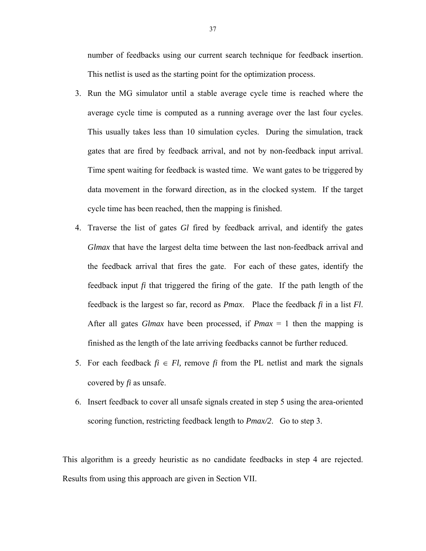number of feedbacks using our current search technique for feedback insertion. This netlist is used as the starting point for the optimization process.

- 3. Run the MG simulator until a stable average cycle time is reached where the average cycle time is computed as a running average over the last four cycles. This usually takes less than 10 simulation cycles. During the simulation, track gates that are fired by feedback arrival, and not by non-feedback input arrival. Time spent waiting for feedback is wasted time. We want gates to be triggered by data movement in the forward direction, as in the clocked system. If the target cycle time has been reached, then the mapping is finished.
- 4. Traverse the list of gates *Gl* fired by feedback arrival, and identify the gates *Glmax* that have the largest delta time between the last non-feedback arrival and the feedback arrival that fires the gate. For each of these gates, identify the feedback input *fi* that triggered the firing of the gate. If the path length of the feedback is the largest so far, record as *Pmax*. Place the feedback *fi* in a list *Fl*. After all gates *Glmax* have been processed, if *Pmax* = 1 then the mapping is finished as the length of the late arriving feedbacks cannot be further reduced.
- 5. For each feedback  $fi \in Fl$ , remove  $fi$  from the PL netlist and mark the signals covered by *fi* as unsafe.
- 6. Insert feedback to cover all unsafe signals created in step 5 using the area-oriented scoring function, restricting feedback length to *Pmax/2*. Go to step 3.

This algorithm is a greedy heuristic as no candidate feedbacks in step 4 are rejected. Results from using this approach are given in Section VII.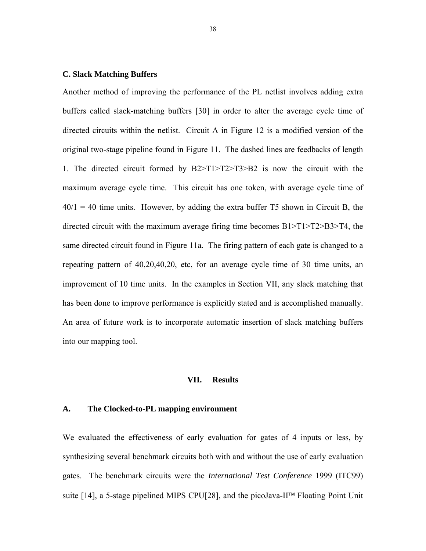## **C. Slack Matching Buffers**

Another method of improving the performance of the PL netlist involves adding extra buffers called slack-matching buffers [30] in order to alter the average cycle time of directed circuits within the netlist. Circuit A in Figure 12 is a modified version of the original two-stage pipeline found in Figure 11. The dashed lines are feedbacks of length 1. The directed circuit formed by B2>T1>T2>T3>B2 is now the circuit with the maximum average cycle time. This circuit has one token, with average cycle time of  $40/1 = 40$  time units. However, by adding the extra buffer T5 shown in Circuit B, the directed circuit with the maximum average firing time becomes  $B1 > T1 > T2 > B3 > T4$ , the same directed circuit found in Figure 11a. The firing pattern of each gate is changed to a repeating pattern of 40,20,40,20, etc, for an average cycle time of 30 time units, an improvement of 10 time units. In the examples in Section VII, any slack matching that has been done to improve performance is explicitly stated and is accomplished manually. An area of future work is to incorporate automatic insertion of slack matching buffers into our mapping tool.

#### **VII. Results**

## **A. The Clocked-to-PL mapping environment**

We evaluated the effectiveness of early evaluation for gates of 4 inputs or less, by synthesizing several benchmark circuits both with and without the use of early evaluation gates. The benchmark circuits were the *International Test Conference* 1999 (ITC99) suite [14], a 5-stage pipelined MIPS CPU[28], and the picoJava-II™ Floating Point Unit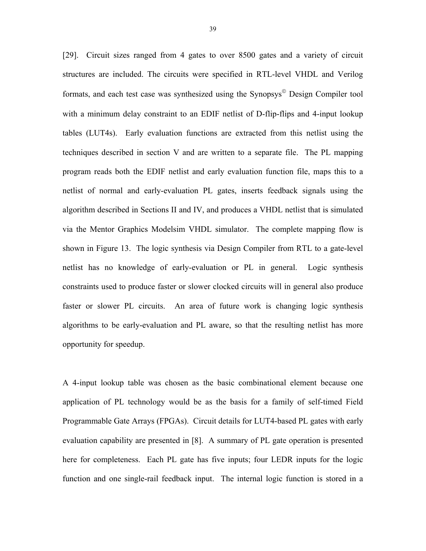[29]. Circuit sizes ranged from 4 gates to over 8500 gates and a variety of circuit structures are included. The circuits were specified in RTL-level VHDL and Verilog formats, and each test case was synthesized using the Synopsys© Design Compiler tool with a minimum delay constraint to an EDIF netlist of D-flip-flips and 4-input lookup tables (LUT4s). Early evaluation functions are extracted from this netlist using the techniques described in section V and are written to a separate file. The PL mapping program reads both the EDIF netlist and early evaluation function file, maps this to a netlist of normal and early-evaluation PL gates, inserts feedback signals using the algorithm described in Sections II and IV, and produces a VHDL netlist that is simulated via the Mentor Graphics Modelsim VHDL simulator. The complete mapping flow is shown in Figure 13. The logic synthesis via Design Compiler from RTL to a gate-level netlist has no knowledge of early-evaluation or PL in general. Logic synthesis constraints used to produce faster or slower clocked circuits will in general also produce faster or slower PL circuits. An area of future work is changing logic synthesis algorithms to be early-evaluation and PL aware, so that the resulting netlist has more opportunity for speedup.

A 4-input lookup table was chosen as the basic combinational element because one application of PL technology would be as the basis for a family of self-timed Field Programmable Gate Arrays (FPGAs). Circuit details for LUT4-based PL gates with early evaluation capability are presented in [8]. A summary of PL gate operation is presented here for completeness. Each PL gate has five inputs; four LEDR inputs for the logic function and one single-rail feedback input. The internal logic function is stored in a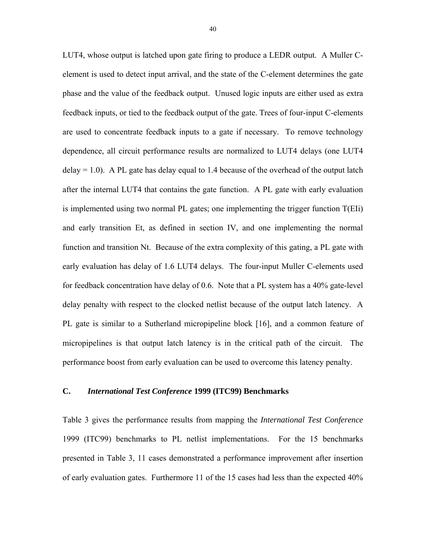LUT4, whose output is latched upon gate firing to produce a LEDR output. A Muller Celement is used to detect input arrival, and the state of the C-element determines the gate phase and the value of the feedback output. Unused logic inputs are either used as extra feedback inputs, or tied to the feedback output of the gate. Trees of four-input C-elements are used to concentrate feedback inputs to a gate if necessary. To remove technology dependence, all circuit performance results are normalized to LUT4 delays (one LUT4  $delay = 1.0$ ). A PL gate has delay equal to 1.4 because of the overhead of the output latch after the internal LUT4 that contains the gate function. A PL gate with early evaluation is implemented using two normal PL gates; one implementing the trigger function T(EIi) and early transition Et, as defined in section IV, and one implementing the normal function and transition Nt. Because of the extra complexity of this gating, a PL gate with early evaluation has delay of 1.6 LUT4 delays. The four-input Muller C-elements used for feedback concentration have delay of 0.6. Note that a PL system has a 40% gate-level delay penalty with respect to the clocked netlist because of the output latch latency. A PL gate is similar to a Sutherland micropipeline block [16], and a common feature of micropipelines is that output latch latency is in the critical path of the circuit. The performance boost from early evaluation can be used to overcome this latency penalty.

## **C.** *International Test Conference* **1999 (ITC99) Benchmarks**

Table 3 gives the performance results from mapping the *International Test Conference* 1999 (ITC99) benchmarks to PL netlist implementations. For the 15 benchmarks presented in Table 3, 11 cases demonstrated a performance improvement after insertion of early evaluation gates. Furthermore 11 of the 15 cases had less than the expected 40%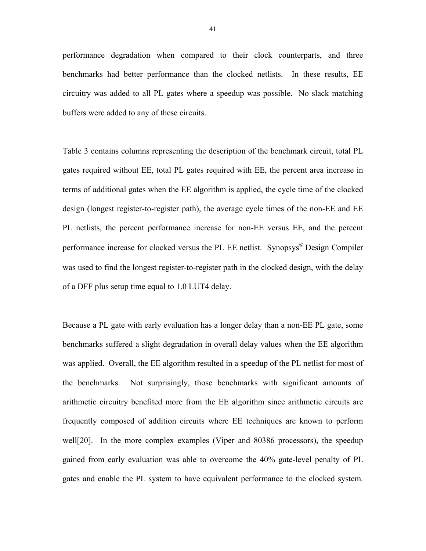performance degradation when compared to their clock counterparts, and three benchmarks had better performance than the clocked netlists. In these results, EE circuitry was added to all PL gates where a speedup was possible. No slack matching buffers were added to any of these circuits.

Table 3 contains columns representing the description of the benchmark circuit, total PL gates required without EE, total PL gates required with EE, the percent area increase in terms of additional gates when the EE algorithm is applied, the cycle time of the clocked design (longest register-to-register path), the average cycle times of the non-EE and EE PL netlists, the percent performance increase for non-EE versus EE, and the percent performance increase for clocked versus the PL EE netlist. Synopsys© Design Compiler was used to find the longest register-to-register path in the clocked design, with the delay of a DFF plus setup time equal to 1.0 LUT4 delay.

Because a PL gate with early evaluation has a longer delay than a non-EE PL gate, some benchmarks suffered a slight degradation in overall delay values when the EE algorithm was applied. Overall, the EE algorithm resulted in a speedup of the PL netlist for most of the benchmarks. Not surprisingly, those benchmarks with significant amounts of arithmetic circuitry benefited more from the EE algorithm since arithmetic circuits are frequently composed of addition circuits where EE techniques are known to perform well[20]. In the more complex examples (Viper and 80386 processors), the speedup gained from early evaluation was able to overcome the 40% gate-level penalty of PL gates and enable the PL system to have equivalent performance to the clocked system.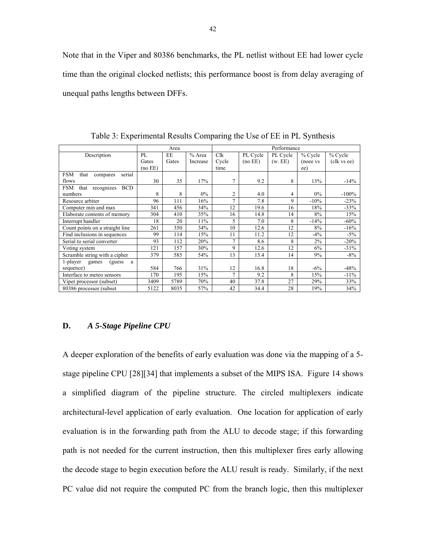Note that in the Viper and 80386 benchmarks, the PL netlist without EE had lower cycle time than the original clocked netlists; this performance boost is from delay averaging of unequal paths lengths between DFFs.

|                                                |         | Area  |          |                |          | Performance |          |             |
|------------------------------------------------|---------|-------|----------|----------------|----------|-------------|----------|-------------|
| Description                                    | PL      | EE    | % Area   | Clk            | PL Cycle | PL Cycle    | % Cycle  | % Cycle     |
|                                                | Gates   | Gates | Increase | Cycle          | (no EE)  | (w, EE)     | (noee vs | (clk vs ee) |
|                                                | (no EE) |       |          | time           |          |             | ee)      |             |
| <b>FSM</b><br>that<br>serial<br>compares       |         |       |          |                |          |             |          |             |
| flows                                          | 30      | 35    | 17%      | 7              | 9.2      | 8           | 13%      | $-14%$      |
| recognizes<br><b>FSM</b><br>that<br><b>BCD</b> |         |       |          |                |          |             |          |             |
| numbers                                        | 8       | 8     | $0\%$    | 2              | 4.0      | 4           | $0\%$    | $-100%$     |
| Resource arbiter                               | 96      | 111   | 16%      | $\mathcal{I}$  | 7.8      | 9           | $-10%$   | $-23%$      |
| Computer min and max                           | 341     | 456   | 34%      | 12             | 19.6     | 16          | 18%      | $-33%$      |
| Elaborate contents of memory                   | 304     | 410   | 35%      | 16             | 14.8     | 14          | 8%       | 15%         |
| Interrupt handler                              | 18      | 20    | 11%      | 5              | 7.0      | 8           | $-14%$   | $-60\%$     |
| Count points on a straight line                | 261     | 350   | 34%      | 10             | 12.6     | 12          | 8%       | $-16%$      |
| Find inclusions in sequences                   | 99      | 114   | 15%      | 11             | 11.2     | 12          | $-4\%$   | $-5\%$      |
| Serial to serial converter                     | 93      | 112   | 20%      | $\overline{7}$ | 8.6      | 8           | 2%       | $-20%$      |
| Voting system                                  | 121     | 157   | 30%      | 9              | 12.6     | 12          | 6%       | $-31%$      |
| Scramble string with a cipher                  | 379     | 585   | 54%      | 13             | 15.4     | 14          | 9%       | $-8%$       |
| 1-player<br>(guess)<br>games<br>a              |         |       |          |                |          |             |          |             |
| sequence)                                      | 584     | 766   | 31%      | 12             | 16.8     | 18          | $-6\%$   | $-48%$      |
| Interface to meteo sensors                     | 170     | 195   | 15%      | 7              | 9.2      | 8           | 15%      | $-11%$      |
| Viper processor (subset)                       | 3409    | 5789  | 70%      | 40             | 37.8     | 27          | 29%      | 33%         |
| 80386 processor (subset)                       | 5122    | 8035  | 57%      | 42             | 34.4     | 28          | 19%      | 34%         |

Table 3: Experimental Results Comparing the Use of EE in PL Synthesis

## **D.** *A 5-Stage Pipeline CPU*

A deeper exploration of the benefits of early evaluation was done via the mapping of a 5 stage pipeline CPU [28][34] that implements a subset of the MIPS ISA. Figure 14 shows a simplified diagram of the pipeline structure. The circled multiplexers indicate architectural-level application of early evaluation. One location for application of early evaluation is in the forwarding path from the ALU to decode stage; if this forwarding path is not needed for the current instruction, then this multiplexer fires early allowing the decode stage to begin execution before the ALU result is ready. Similarly, if the next PC value did not require the computed PC from the branch logic, then this multiplexer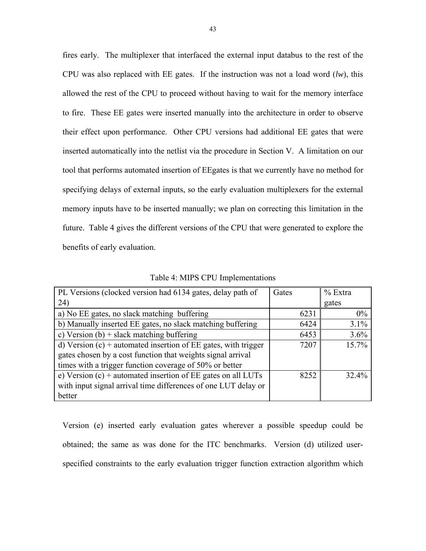fires early. The multiplexer that interfaced the external input databus to the rest of the CPU was also replaced with EE gates. If the instruction was not a load word (*lw*), this allowed the rest of the CPU to proceed without having to wait for the memory interface to fire. These EE gates were inserted manually into the architecture in order to observe their effect upon performance. Other CPU versions had additional EE gates that were inserted automatically into the netlist via the procedure in Section V. A limitation on our tool that performs automated insertion of EEgates is that we currently have no method for specifying delays of external inputs, so the early evaluation multiplexers for the external memory inputs have to be inserted manually; we plan on correcting this limitation in the future. Table 4 gives the different versions of the CPU that were generated to explore the benefits of early evaluation.

| PL Versions (clocked version had 6134 gates, delay path of       | Gates | $%$ Extra |
|------------------------------------------------------------------|-------|-----------|
| 24)                                                              |       | gates     |
| a) No EE gates, no slack matching buffering                      | 6231  | $0\%$     |
| b) Manually inserted EE gates, no slack matching buffering       | 6424  | 3.1%      |
| c) Version $(b)$ + slack matching buffering                      | 6453  | 3.6%      |
| d) Version $(c)$ + automated insertion of EE gates, with trigger | 7207  | 15.7%     |
| gates chosen by a cost function that weights signal arrival      |       |           |
| times with a trigger function coverage of 50% or better          |       |           |
| e) Version $(c)$ + automated insertion of EE gates on all LUTs   | 8252  | 32.4%     |
| with input signal arrival time differences of one LUT delay or   |       |           |
| better                                                           |       |           |

Table 4: MIPS CPU Implementations

Version (e) inserted early evaluation gates wherever a possible speedup could be obtained; the same as was done for the ITC benchmarks. Version (d) utilized userspecified constraints to the early evaluation trigger function extraction algorithm which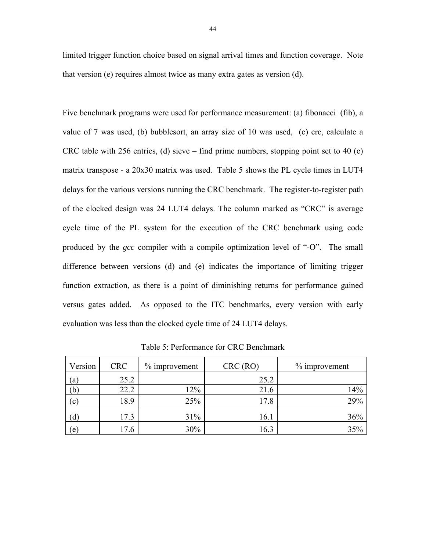limited trigger function choice based on signal arrival times and function coverage. Note that version (e) requires almost twice as many extra gates as version (d).

Five benchmark programs were used for performance measurement: (a) fibonacci (fib), a value of 7 was used, (b) bubblesort, an array size of 10 was used, (c) crc, calculate a CRC table with 256 entries, (d) sieve – find prime numbers, stopping point set to 40 (e) matrix transpose - a 20x30 matrix was used. Table 5 shows the PL cycle times in LUT4 delays for the various versions running the CRC benchmark. The register-to-register path of the clocked design was 24 LUT4 delays. The column marked as "CRC" is average cycle time of the PL system for the execution of the CRC benchmark using code produced by the *gcc* compiler with a compile optimization level of "-O". The small difference between versions (d) and (e) indicates the importance of limiting trigger function extraction, as there is a point of diminishing returns for performance gained versus gates added. As opposed to the ITC benchmarks, every version with early evaluation was less than the clocked cycle time of 24 LUT4 delays.

| Version | <b>CRC</b> | $%$ improvement | CRC(RO) | $\%$ improvement |
|---------|------------|-----------------|---------|------------------|
| (a)     | 25.2       |                 | 25.2    |                  |
| (b)     | 22.2       | 12%             | 21.6    | 14%              |
| (c)     | 18.9       | 25%             | 17.8    | 29%              |
| (d)     | 17.3       | 31%             | 16.1    | 36%              |
| (e)     | 17.6       | 30%             | 16.3    | 35%              |

Table 5: Performance for CRC Benchmark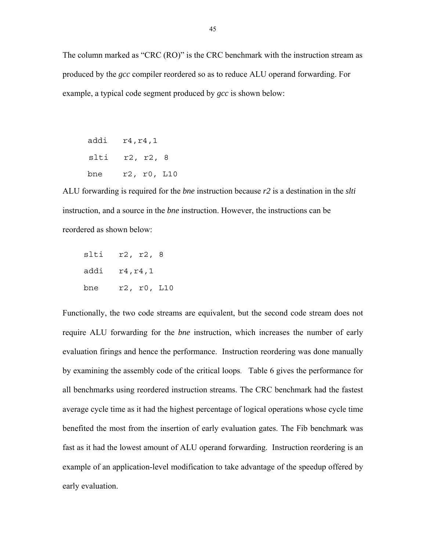The column marked as "CRC (RO)" is the CRC benchmark with the instruction stream as produced by the *gcc* compiler reordered so as to reduce ALU operand forwarding. For example, a typical code segment produced by *gcc* is shown below:

addi r4,r4,1 slti r2, r2, 8 bne r2, r0, L10

ALU forwarding is required for the *bne* instruction because *r2* is a destination in the *slti* instruction, and a source in the *bne* instruction. However, the instructions can be reordered as shown below:

| slti | r2, r2, 8   |
|------|-------------|
| addi | r4, r4, 1   |
| bne  | r2, r0, L10 |

Functionally, the two code streams are equivalent, but the second code stream does not require ALU forwarding for the *bne* instruction, which increases the number of early evaluation firings and hence the performance. Instruction reordering was done manually by examining the assembly code of the critical loops. Table 6 gives the performance for all benchmarks using reordered instruction streams. The CRC benchmark had the fastest average cycle time as it had the highest percentage of logical operations whose cycle time benefited the most from the insertion of early evaluation gates. The Fib benchmark was fast as it had the lowest amount of ALU operand forwarding. Instruction reordering is an example of an application-level modification to take advantage of the speedup offered by early evaluation.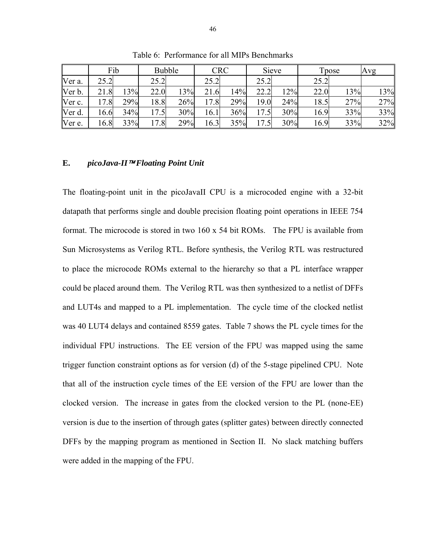|        | Fib     |     |       | <b>Bubble</b> | <b>CRC</b>           |     |      | Sieve |      | Tpose | Avg |
|--------|---------|-----|-------|---------------|----------------------|-----|------|-------|------|-------|-----|
| Ver a. | 25.2    |     | 25.2  |               | 25.2                 |     | 25.2 |       | 25.2 |       |     |
| Ver b. | 21.8    | 13% | 22.0  | 13%           | 21.6                 | 14% | 22.2 | 12%   | 22.0 | 13%   | 13% |
| Ver c. | .8<br>7 | 29% | 18.8I | 26%           | $\cdot$ 8<br>$17 \,$ | 29% | 19.0 | 24%   | 18.5 | 27%   | 27% |
| Ver d. | 16.6    | 34% | 17.5  | 30%           | 16.1                 | 36% | 17.5 | 30%   | 16.9 | 33%   | 33% |
| Ver e. | 16.8    | 33% | 17.8  | 29%           | 16.3                 | 35% | 17.5 | 30%   | 16.9 | 33%   | 32% |

Table 6: Performance for all MIPs Benchmarks

## **E.** *picoJava-II*™ *Floating Point Unit*

The floating-point unit in the picoJavaII CPU is a microcoded engine with a 32-bit datapath that performs single and double precision floating point operations in IEEE 754 format. The microcode is stored in two 160 x 54 bit ROMs. The FPU is available from Sun Microsystems as Verilog RTL. Before synthesis, the Verilog RTL was restructured to place the microcode ROMs external to the hierarchy so that a PL interface wrapper could be placed around them. The Verilog RTL was then synthesized to a netlist of DFFs and LUT4s and mapped to a PL implementation. The cycle time of the clocked netlist was 40 LUT4 delays and contained 8559 gates. Table 7 shows the PL cycle times for the individual FPU instructions. The EE version of the FPU was mapped using the same trigger function constraint options as for version (d) of the 5-stage pipelined CPU. Note that all of the instruction cycle times of the EE version of the FPU are lower than the clocked version. The increase in gates from the clocked version to the PL (none-EE) version is due to the insertion of through gates (splitter gates) between directly connected DFFs by the mapping program as mentioned in Section II. No slack matching buffers were added in the mapping of the FPU.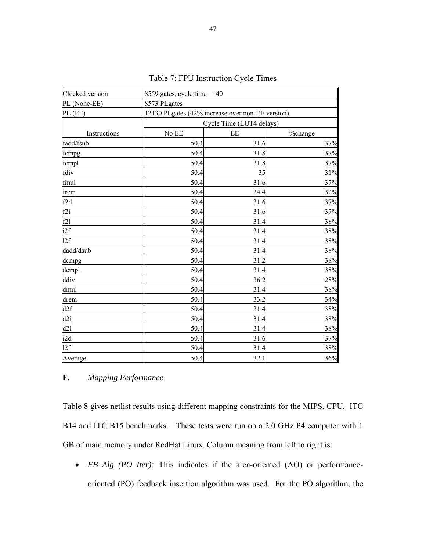| Clocked version | 8559 gates, cycle time = $40$                    |      |         |  |  |  |  |  |  |
|-----------------|--------------------------------------------------|------|---------|--|--|--|--|--|--|
| PL (None-EE)    | 8573 PLgates                                     |      |         |  |  |  |  |  |  |
| PL (EE)         | 12130 PLgates (42% increase over non-EE version) |      |         |  |  |  |  |  |  |
|                 | Cycle Time (LUT4 delays)                         |      |         |  |  |  |  |  |  |
| Instructions    | No EE                                            | EE   | %change |  |  |  |  |  |  |
| fadd/fsub       | 50.4                                             | 31.6 | 37%     |  |  |  |  |  |  |
| fcmpg           | 50.4                                             | 31.8 | 37%     |  |  |  |  |  |  |
| fcmpl           | 50.4                                             | 31.8 | 37%     |  |  |  |  |  |  |
| fdiv            | 50.4                                             | 35   | 31%     |  |  |  |  |  |  |
| fmul            | 50.4                                             | 31.6 | 37%     |  |  |  |  |  |  |
| frem            | 50.4                                             | 34.4 | 32%     |  |  |  |  |  |  |
| f2d             | 50.4                                             | 31.6 | 37%     |  |  |  |  |  |  |
| f2i             | 50.4                                             | 31.6 | 37%     |  |  |  |  |  |  |
| f2l             | 50.4                                             | 31.4 | 38%     |  |  |  |  |  |  |
| i2f             | 50.4                                             | 31.4 | 38%     |  |  |  |  |  |  |
| 12f             | 50.4                                             | 31.4 | 38%     |  |  |  |  |  |  |
| dadd/dsub       | 50.4                                             | 31.4 | 38%     |  |  |  |  |  |  |
| dcmpg           | 50.4                                             | 31.2 | 38%     |  |  |  |  |  |  |
| dcmpl           | 50.4                                             | 31.4 | 38%     |  |  |  |  |  |  |
| ddiv            | 50.4                                             | 36.2 | 28%     |  |  |  |  |  |  |
| dmul            | 50.4                                             | 31.4 | 38%     |  |  |  |  |  |  |
| drem            | 50.4                                             | 33.2 | 34%     |  |  |  |  |  |  |
| d2f             | 50.4                                             | 31.4 | 38%     |  |  |  |  |  |  |
| d2i             | 50.4                                             | 31.4 | 38%     |  |  |  |  |  |  |
| d21             | 50.4                                             | 31.4 | 38%     |  |  |  |  |  |  |
| i2d             | 50.4                                             | 31.6 | 37%     |  |  |  |  |  |  |
| 12f             | 50.4                                             | 31.4 | 38%     |  |  |  |  |  |  |
| Average         | 50.4                                             | 32.1 | 36%     |  |  |  |  |  |  |

Table 7: FPU Instruction Cycle Times

# **F.** *Mapping Performance*

Table 8 gives netlist results using different mapping constraints for the MIPS, CPU, ITC B14 and ITC B15 benchmarks. These tests were run on a 2.0 GHz P4 computer with 1 GB of main memory under RedHat Linux. Column meaning from left to right is:

• *FB Alg (PO Iter):* This indicates if the area-oriented (AO) or performanceoriented (PO) feedback insertion algorithm was used. For the PO algorithm, the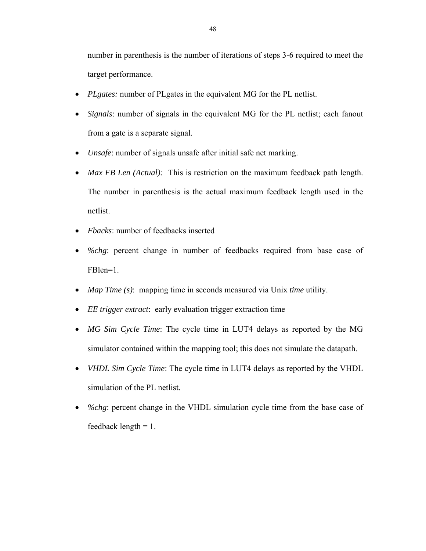number in parenthesis is the number of iterations of steps 3-6 required to meet the target performance.

- *PLgates:* number of PLgates in the equivalent MG for the PL netlist.
- *Signals*: number of signals in the equivalent MG for the PL netlist; each fanout from a gate is a separate signal.
- *Unsafe*: number of signals unsafe after initial safe net marking.
- *Max FB Len (Actual)*: This is restriction on the maximum feedback path length. The number in parenthesis is the actual maximum feedback length used in the netlist.
- *Fbacks*: number of feedbacks inserted
- *%chg*: percent change in number of feedbacks required from base case of FBlen=1.
- *Map Time (s)*: mapping time in seconds measured via Unix *time* utility.
- *EE trigger extract*: early evaluation trigger extraction time
- *MG Sim Cycle Time*: The cycle time in LUT4 delays as reported by the MG simulator contained within the mapping tool; this does not simulate the datapath.
- *VHDL Sim Cycle Time*: The cycle time in LUT4 delays as reported by the VHDL simulation of the PL netlist.
- *%chg*: percent change in the VHDL simulation cycle time from the base case of feedback length  $= 1$ .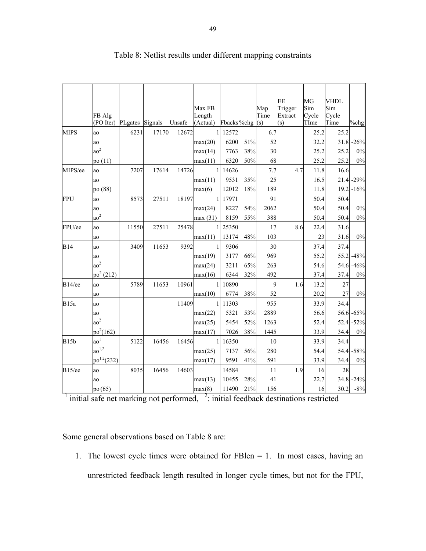|              |                 |                 |       |        |              |                              |     |      | EE      | MG    | <b>VHDL</b> |              |
|--------------|-----------------|-----------------|-------|--------|--------------|------------------------------|-----|------|---------|-------|-------------|--------------|
|              |                 |                 |       |        | Max FB       |                              |     | Map  | Trigger | Sim   | Sim         |              |
|              | FB Alg          |                 |       |        | Length       |                              |     | Time | Extract | Cycle | Cycle       |              |
|              | (PO Iter)       | PLgates Signals |       | Unsafe | (Actual)     | Fbacks <sup>%chg</sup> $(s)$ |     |      | (s)     | TIme  | Time        | %chg         |
| <b>MIPS</b>  | ao              | 6231            | 17170 | 12672  |              | 12572                        |     | 6.7  |         | 25.2  | 25.2        |              |
|              | ao              |                 |       |        | max(20)      | 6200                         | 51% | 52   |         | 32.2  |             | $31.8 - 26%$ |
|              | $a\sigma^2$     |                 |       |        | max(14)      | 7763                         | 38% | 30   |         | 25.2  | 25.2        | $0\%$        |
|              | po $(11)$       |                 |       |        | max(11)      | 6320                         | 50% | 68   |         | 25.2  | 25.2        | $0\%$        |
| MIPS/ee      | ao              | 7207            | 17614 | 14726  | $\mathbf{1}$ | 14626                        |     | 7.7  | 4.7     | 11.8  | 16.6        |              |
|              | ao              |                 |       |        | max(11)      | 9531                         | 35% | 25   |         | 16.5  |             | 21.4 -29%    |
|              | po (88)         |                 |       |        | max(6)       | 12012                        | 18% | 189  |         | 11.8  | 19.2        | $-16%$       |
| <b>FPU</b>   | ao              | 8573            | 27511 | 18197  |              | 17971                        |     | 91   |         | 50.4  | 50.4        |              |
|              | ao              |                 |       |        | max(24)      | 8227                         | 54% | 2062 |         | 50.4  | 50.4        | $0\%$        |
|              | $a\sigma^2$     |                 |       |        | max(31)      | 8159                         | 55% | 388  |         | 50.4  | 50.4        | 0%           |
| FPU/ee       | ao              | 11550           | 27511 | 25478  |              | 25350                        |     | 17   | 8.6     | 22.4  | 31.6        |              |
|              | ao              |                 |       |        | max(11)      | 13174                        | 48% | 103  |         | 23    | 31.6        | $0\%$        |
| <b>B14</b>   | ao              | 3409            | 11653 | 9392   | 1            | 9306                         |     | 30   |         | 37.4  | 37.4        |              |
|              | ao              |                 |       |        | max(19)      | 3177                         | 66% | 969  |         | 55.2  |             | 55.2 -48%    |
|              | $a\sigma^2$     |                 |       |        | max(24)      | 3211                         | 65% | 263  |         | 54.6  | 54.6        | $-46%$       |
|              | $po^2(212)$     |                 |       |        | max(16)      | 6344                         | 32% | 492  |         | 37.4  | 37.4        | $0\%$        |
| $B14$ /ee    | ao              | 5789            | 11653 | 10961  |              | 10890                        |     | 9    | 1.6     | 13.2  | 27          |              |
|              | ao              |                 |       |        | max(10)      | 6774                         | 38% | 52   |         | 20.2  | 27          | 0%           |
| <b>B</b> 15a | ao              |                 |       | 11409  | $\mathbf{1}$ | 11303                        |     | 955  |         | 33.9  | 34.4        |              |
|              | ao              |                 |       |        | max(22)      | 5321                         | 53% | 2889 |         | 56.6  |             | 56.6 -65%    |
|              | $a\sigma^2$     |                 |       |        | max(25)      | 5454                         | 52% | 1263 |         | 52.4  | 52.4        | $-52%$       |
|              | $po^2(162)$     |                 |       |        | max(17)      | 7026                         | 38% | 1445 |         | 33.9  | 34.4        | 0%           |
| B15b         | $a\sigma^1$     | 5122            | 16456 | 16456  | $\mathbf{1}$ | 16350                        |     | 10   |         | 33.9  | 34.4        |              |
|              | $a\sigma^{1,2}$ |                 |       |        | max(25)      | 7137                         | 56% | 280  |         | 54.4  |             | 54.4 -58%    |
|              | $po^{1,2}(232)$ |                 |       |        | max(17)      | 9591                         | 41% | 591  |         | 33.9  | 34.4        | 0%           |
| B15/ee       | ao              | 8035            | 16456 | 14603  |              | 14584                        |     | 11   | 1.9     | 16    | 28          |              |
|              | ao              |                 |       |        | max(13)      | 10455                        | 28% | 41   |         | 22.7  |             | 34.8 -24%    |
|              | po (65)         |                 |       |        | max(8)       | 11490                        | 21% | 156  |         | 16    | 30.2        | $-8%$        |

# Table 8: Netlist results under different mapping constraints

 $\frac{1}{2}$  initial safe net marking not performed,  $\frac{2}{2}$ : initial feedback destinations restricted

Some general observations based on Table 8 are:

1. The lowest cycle times were obtained for FBlen = 1. In most cases, having an unrestricted feedback length resulted in longer cycle times, but not for the FPU,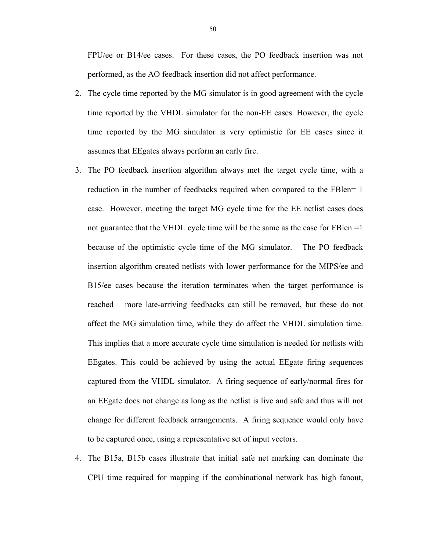FPU/ee or B14/ee cases. For these cases, the PO feedback insertion was not performed, as the AO feedback insertion did not affect performance.

- 2. The cycle time reported by the MG simulator is in good agreement with the cycle time reported by the VHDL simulator for the non-EE cases. However, the cycle time reported by the MG simulator is very optimistic for EE cases since it assumes that EEgates always perform an early fire.
- 3. The PO feedback insertion algorithm always met the target cycle time, with a reduction in the number of feedbacks required when compared to the FBlen= 1 case. However, meeting the target MG cycle time for the EE netlist cases does not guarantee that the VHDL cycle time will be the same as the case for FBlen =1 because of the optimistic cycle time of the MG simulator. The PO feedback insertion algorithm created netlists with lower performance for the MIPS/ee and B15/ee cases because the iteration terminates when the target performance is reached – more late-arriving feedbacks can still be removed, but these do not affect the MG simulation time, while they do affect the VHDL simulation time. This implies that a more accurate cycle time simulation is needed for netlists with EEgates. This could be achieved by using the actual EEgate firing sequences captured from the VHDL simulator. A firing sequence of early/normal fires for an EEgate does not change as long as the netlist is live and safe and thus will not change for different feedback arrangements. A firing sequence would only have to be captured once, using a representative set of input vectors.
- 4. The B15a, B15b cases illustrate that initial safe net marking can dominate the CPU time required for mapping if the combinational network has high fanout,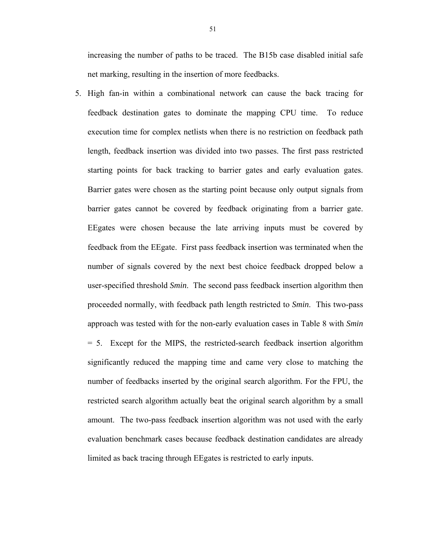increasing the number of paths to be traced. The B15b case disabled initial safe net marking, resulting in the insertion of more feedbacks.

5. High fan-in within a combinational network can cause the back tracing for feedback destination gates to dominate the mapping CPU time. To reduce execution time for complex netlists when there is no restriction on feedback path length, feedback insertion was divided into two passes. The first pass restricted starting points for back tracking to barrier gates and early evaluation gates. Barrier gates were chosen as the starting point because only output signals from barrier gates cannot be covered by feedback originating from a barrier gate. EEgates were chosen because the late arriving inputs must be covered by feedback from the EEgate. First pass feedback insertion was terminated when the number of signals covered by the next best choice feedback dropped below a user-specified threshold *Smin*. The second pass feedback insertion algorithm then proceeded normally, with feedback path length restricted to *Smin*. This two-pass approach was tested with for the non-early evaluation cases in Table 8 with *Smin* = 5. Except for the MIPS, the restricted-search feedback insertion algorithm significantly reduced the mapping time and came very close to matching the number of feedbacks inserted by the original search algorithm. For the FPU, the restricted search algorithm actually beat the original search algorithm by a small amount. The two-pass feedback insertion algorithm was not used with the early evaluation benchmark cases because feedback destination candidates are already limited as back tracing through EEgates is restricted to early inputs.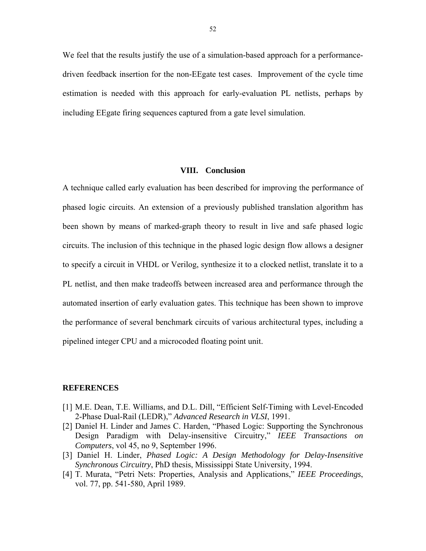We feel that the results justify the use of a simulation-based approach for a performancedriven feedback insertion for the non-EEgate test cases. Improvement of the cycle time estimation is needed with this approach for early-evaluation PL netlists, perhaps by including EEgate firing sequences captured from a gate level simulation.

## **VIII. Conclusion**

A technique called early evaluation has been described for improving the performance of phased logic circuits. An extension of a previously published translation algorithm has been shown by means of marked-graph theory to result in live and safe phased logic circuits. The inclusion of this technique in the phased logic design flow allows a designer to specify a circuit in VHDL or Verilog, synthesize it to a clocked netlist, translate it to a PL netlist, and then make tradeoffs between increased area and performance through the automated insertion of early evaluation gates. This technique has been shown to improve the performance of several benchmark circuits of various architectural types, including a pipelined integer CPU and a microcoded floating point unit.

## **REFERENCES**

- [1] M.E. Dean, T.E. Williams, and D.L. Dill, "Efficient Self-Timing with Level-Encoded 2-Phase Dual-Rail (LEDR)," *Advanced Research in VLSI*, 1991.
- [2] Daniel H. Linder and James C. Harden, "Phased Logic: Supporting the Synchronous Design Paradigm with Delay-insensitive Circuitry," *IEEE Transactions on Computers*, vol 45, no 9, September 1996.
- [3] Daniel H. Linder, *Phased Logic: A Design Methodology for Delay-Insensitive Synchronous Circuitry*, PhD thesis, Mississippi State University, 1994.
- [4] T. Murata, "Petri Nets: Properties, Analysis and Applications," *IEEE Proceedings*, vol. 77, pp. 541-580, April 1989.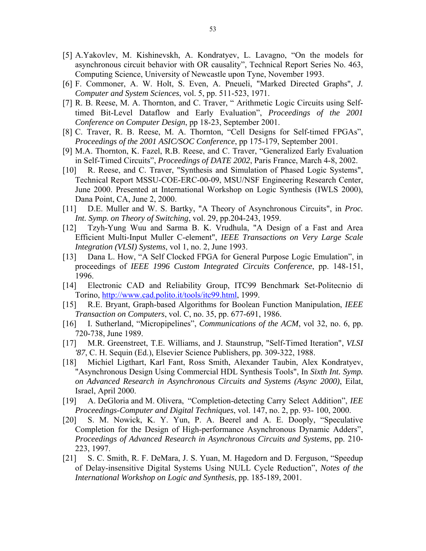- [5] A.Yakovlev, M. Kishinevskh, A. Kondratyev, L. Lavagno, "On the models for asynchronous circuit behavior with OR causality", Technical Report Series No. 463, Computing Science, University of Newcastle upon Tyne, November 1993.
- [6] F. Commoner, A. W. Holt, S. Even, A. Pneueli, "Marked Directed Graphs", *J. Computer and System Sciences*, vol. 5, pp. 511-523, 1971.
- [7] R. B. Reese, M. A. Thornton, and C. Traver, " Arithmetic Logic Circuits using Selftimed Bit-Level Dataflow and Early Evaluation", *Proceedings of the 2001 Conference on Computer Design*, pp 18-23, September 2001.
- [8] C. Traver, R. B. Reese, M. A. Thornton, "Cell Designs for Self-timed FPGAs", *Proceedings of the 2001 ASIC/SOC Conference*, pp 175-179, September 2001.
- [9] M.A. Thornton, K. Fazel, R.B. Reese, and C. Traver, "Generalized Early Evaluation in Self-Timed Circuits", *Proceedings of DATE 2002*, Paris France, March 4-8, 2002.
- [10] R. Reese, and C. Traver, "Synthesis and Simulation of Phased Logic Systems", Technical Report MSSU-COE-ERC-00-09, MSU/NSF Engineering Research Center, June 2000. Presented at International Workshop on Logic Synthesis (IWLS 2000), Dana Point, CA, June 2, 2000.
- [11] D.E. Muller and W. S. Bartky, "A Theory of Asynchronous Circuits", in *Proc. Int. Symp. on Theory of Switching*, vol. 29, pp.204-243, 1959.
- [12] Tzyh-Yung Wuu and Sarma B. K. Vrudhula, "A Design of a Fast and Area Efficient Multi-Input Muller C-element", *IEEE Transactions on Very Large Scale Integration (VLSI) Systems*, vol 1, no. 2, June 1993.
- [13] Dana L. How, "A Self Clocked FPGA for General Purpose Logic Emulation", in proceedings of *IEEE 1996 Custom Integrated Circuits Conference*, pp. 148-151, 1996.
- [14] Electronic CAD and Reliability Group, ITC99 Benchmark Set-Politecnio di Torino, http://www.cad.polito.it/tools/itc99.html, 1999.
- [15] R.E. Bryant, Graph-based Algorithms for Boolean Function Manipulation, *IEEE Transaction on Computers*, vol. C, no. 35, pp. 677-691, 1986.
- [16] I. Sutherland, "Micropipelines", *Communications of the ACM*, vol 32, no. 6, pp. 720-738, June 1989.
- [17] M.R. Greenstreet, T.E. Williams, and J. Staunstrup, "Self-Timed Iteration", *VLSI '87*, C. H. Sequin (Ed.), Elsevier Science Publishers, pp. 309-322, 1988.
- [18] Michiel Ligthart, Karl Fant, Ross Smith, Alexander Taubin, Alex Kondratyev, "Asynchronous Design Using Commercial HDL Synthesis Tools", In *Sixth Int. Symp. on Advanced Research in Asynchronous Circuits and Systems (Async 2000)*, Eilat, Israel, April 2000.
- [19] A. DeGloria and M. Olivera, "Completion-detecting Carry Select Addition", *IEE Proceedings-Computer and Digital Techniques*, vol. 147, no. 2, pp. 93- 100, 2000.
- [20] S. M. Nowick, K. Y. Yun, P. A. Beerel and A. E. Dooply, "Speculative Completion for the Design of High-performance Asynchronous Dynamic Adders", *Proceedings of Advanced Research in Asynchronous Circuits and Systems*, pp. 210- 223, 1997.
- [21] S. C. Smith, R. F. DeMara, J. S. Yuan, M. Hagedorn and D. Ferguson, "Speedup of Delay-insensitive Digital Systems Using NULL Cycle Reduction", *Notes of the International Workshop on Logic and Synthesis*, pp. 185-189, 2001.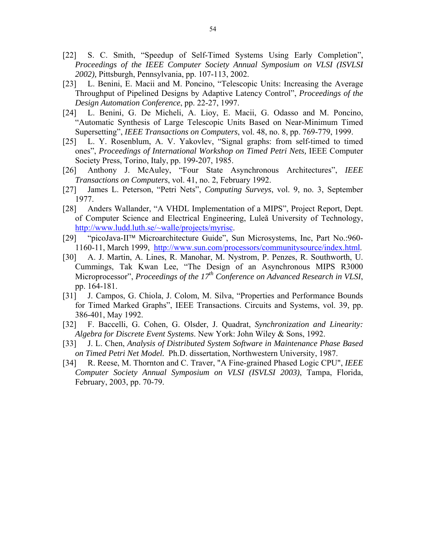- [22] S. C. Smith, "Speedup of Self-Timed Systems Using Early Completion", *Proceedings of the IEEE Computer Society Annual Symposium on VLSI (ISVLSI 2002),* Pittsburgh, Pennsylvania, pp. 107-113, 2002.
- [23] L. Benini, E. Macii and M. Poncino, "Telescopic Units: Increasing the Average Throughput of Pipelined Designs by Adaptive Latency Control", *Proceedings of the Design Automation Conference*, pp. 22-27, 1997.
- [24] L. Benini, G. De Micheli, A. Lioy, E. Macii, G. Odasso and M. Poncino, "Automatic Synthesis of Large Telescopic Units Based on Near-Minimum Timed Supersetting", *IEEE Transactions on Computers*, vol. 48, no. 8, pp. 769-779, 1999.
- [25] L. Y. Rosenblum, A. V. Yakovlev, "Signal graphs: from self-timed to timed ones", *Proceedings of International Workshop on Timed Petri Nets,* IEEE Computer Society Press, Torino, Italy, pp. 199-207, 1985.
- [26] Anthony J. McAuley, "Four State Asynchronous Architectures", *IEEE Transactions on Computers*, vol. 41, no. 2, February 1992.
- [27] James L. Peterson, "Petri Nets", *Computing Surveys*, vol. 9, no. 3, September 1977.
- [28] Anders Wallander, "A VHDL Implementation of a MIPS", Project Report, Dept. of Computer Science and Electrical Engineering, Luleă University of Technology, http://www.ludd.luth.se/~walle/projects/myrisc.
- [29] "picoJava-II™ Microarchitecture Guide", Sun Microsystems, Inc, Part No.:960- 1160-11, March 1999, http://www.sun.com/processors/communitysource/index.html.
- [30] A. J. Martin, A. Lines, R. Manohar, M. Nystrom, P. Penzes, R. Southworth, U. Cummings, Tak Kwan Lee, "The Design of an Asynchronous MIPS R3000 Microprocessor", *Proceedings of the 17th Conference on Advanced Research in VLSI*, pp. 164-181.
- [31] J. Campos, G. Chiola, J. Colom, M. Silva, "Properties and Performance Bounds for Timed Marked Graphs", IEEE Transactions. Circuits and Systems, vol. 39, pp. 386-401, May 1992.
- [32] F. Baccelli, G. Cohen, G. Olsder, J. Quadrat, *Synchronization and Linearity: Algebra for Discrete Event Systems*. New York: John Wiley & Sons, 1992.
- [33] J. L. Chen, *Analysis of Distributed System Software in Maintenance Phase Based on Timed Petri Net Model.* Ph.D. dissertation, Northwestern University, 1987.
- [34] R. Reese, M. Thornton and C. Traver, "A Fine-grained Phased Logic CPU", *IEEE Computer Society Annual Symposium on VLSI (ISVLSI 2003)*, Tampa, Florida, February, 2003, pp. 70-79.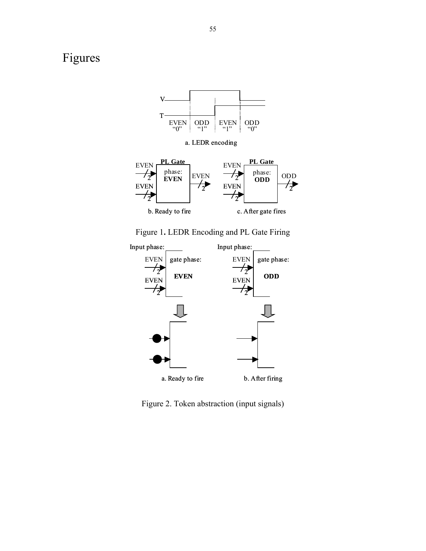# Figures



a. LEDR encoding



Figure 1**.** LEDR Encoding and PL Gate Firing



Figure 2. Token abstraction (input signals)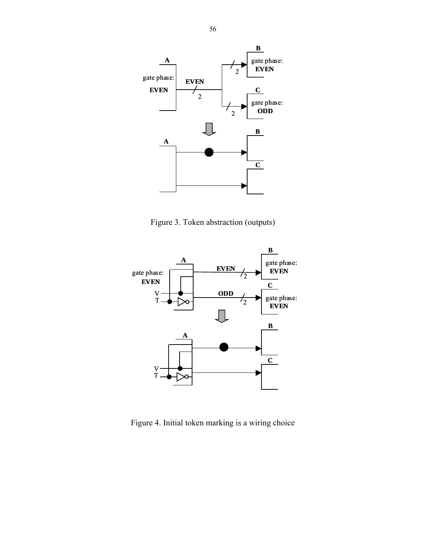

Figure 3. Token abstraction (outputs)



Figure 4. Initial token marking is a wiring choice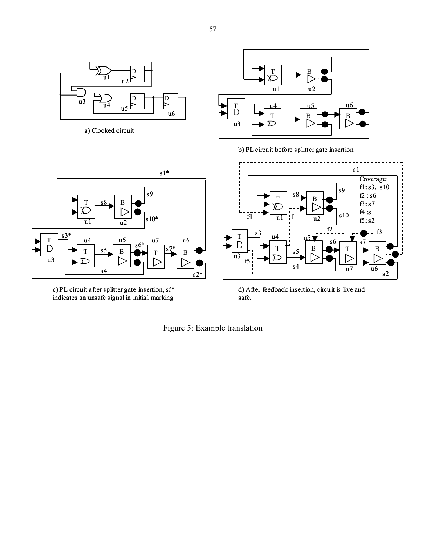

a) Clocked circuit



b) PL circuit before splitter gate insertion



c) PL circuit after splitter gate insertion, s*i*\* indicates an unsafe signal in initial marking



d) After feedback insertion, circuit is live and safe.

Figure 5: Example translation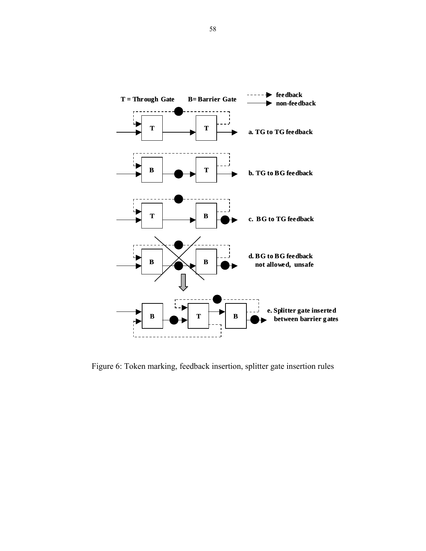

Figure 6: Token marking, feedback insertion, splitter gate insertion rules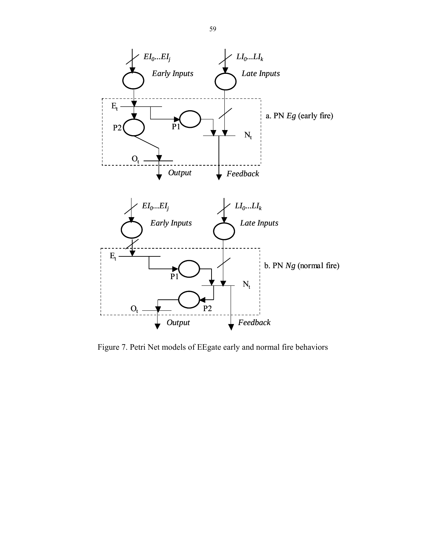

Figure 7. Petri Net models of EEgate early and normal fire behaviors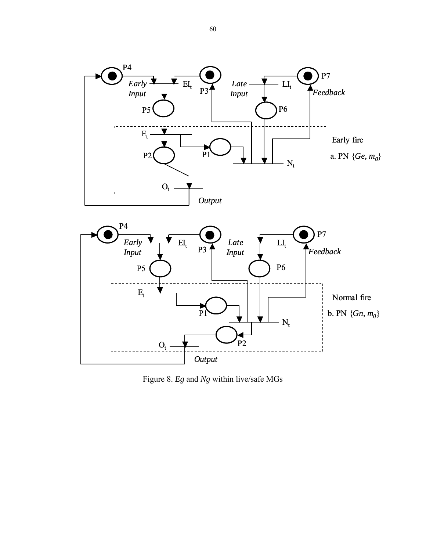

Figure 8. *Eg* and *Ng* within live/safe MGs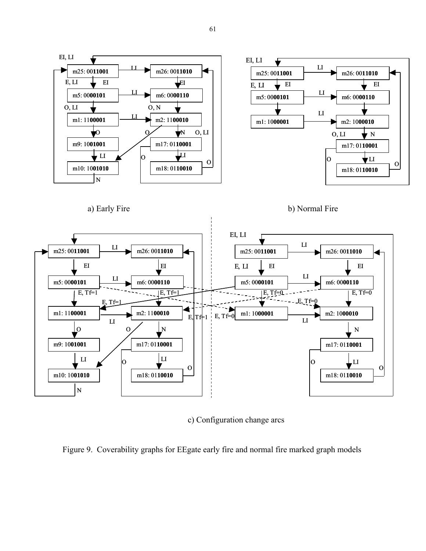

a) Early Fire b) Normal Fire



c) Configuration change arcs

Figure 9. Coverability graphs for EEgate early fire and normal fire marked graph models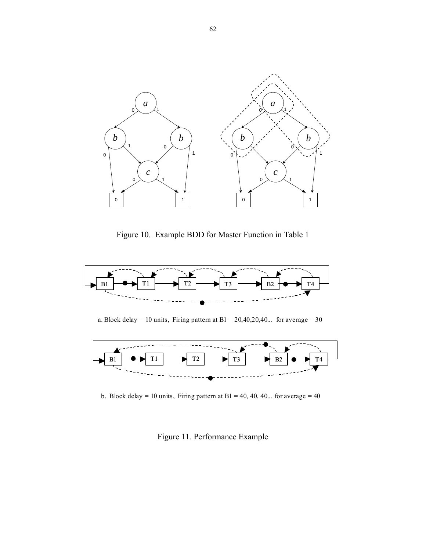

Figure 10. Example BDD for Master Function in Table 1



a. Block delay = 10 units, Firing pattern at B1 =  $20,40,20,40...$  for average = 30



b. Block delay = 10 units, Firing pattern at B1 = 40, 40, 40... for average = 40

Figure 11. Performance Example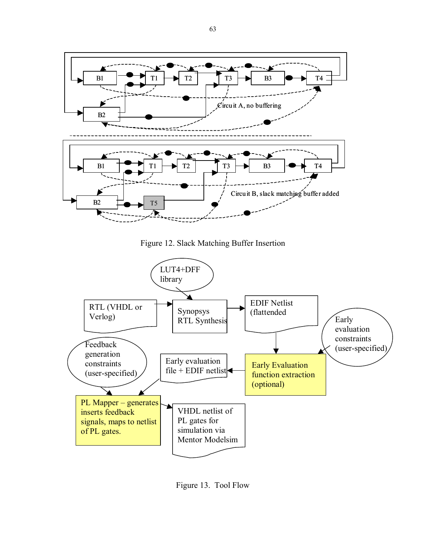

Figure 12. Slack Matching Buffer Insertion



Figure 13. Tool Flow